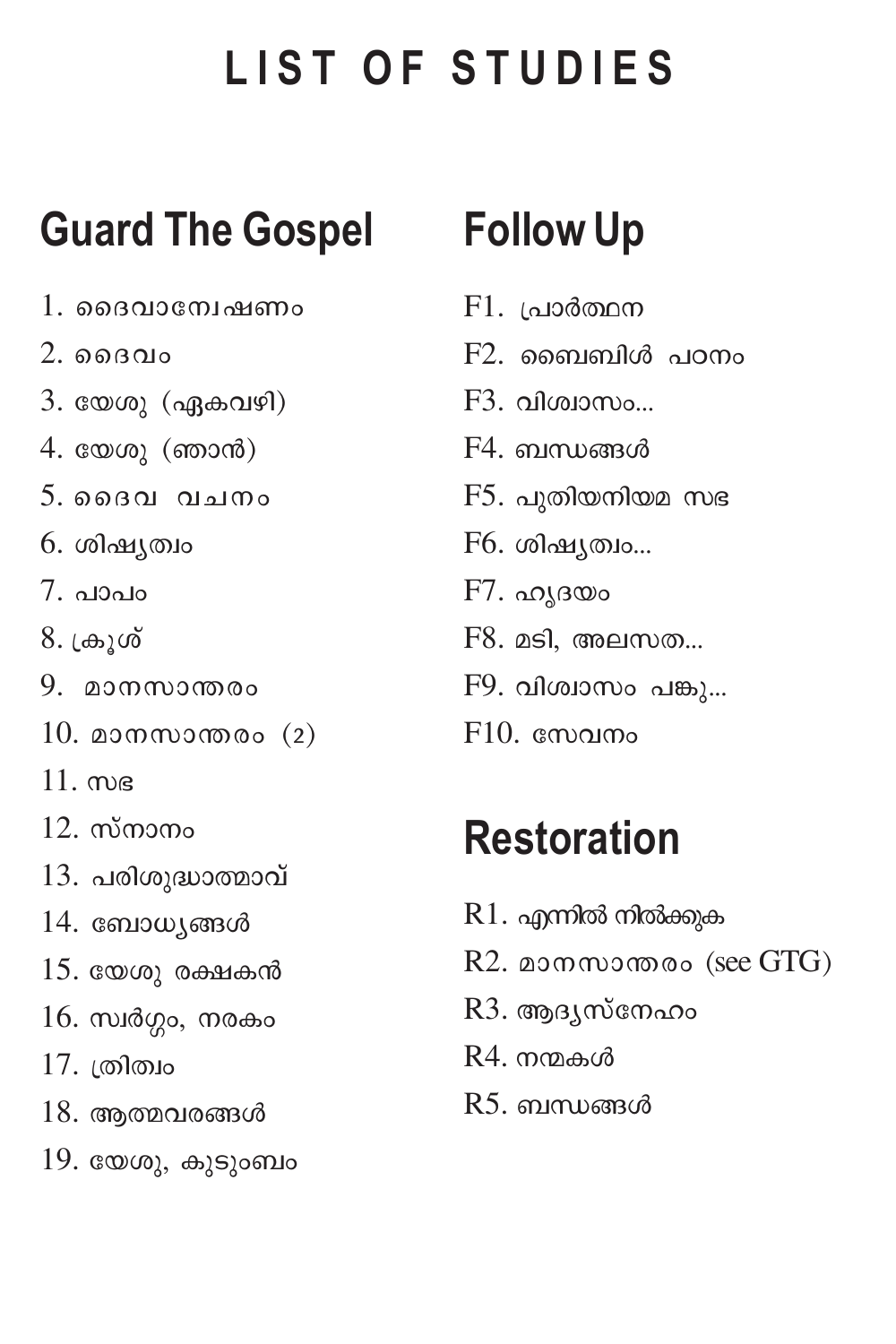# LIST OF STUDIES

# **Guard The Gospel**

- 1. ദൈവാന്വേഷണം
- $2.$  മൈവം
- 3. യേശു (ഏകവഴി)
- $4.$  യേശു (ഞാൻ)
- $5.$ മൈവ വചനം
- 6. ശിഷ്യത്വം
- $7.0000$
- 8. ക്രൂശ്
- 9. മാനസാന്തരം
- $10.$  മാനസാന്തരം  $(2)$
- $11.$  me
- $12.$  സ്നാനം
- 13. പരിശുദ്ധാത്മാവ്
- 14. ബോധ്യങ്ങൾ
- $15.$  യേശു രക്ഷകൻ
- $16.$  സ്വർഗ്ഗം, നരകം
- 17. ത്രിത്വം
- $18.$  ആത്മവരങ്ങൾ
- $19.$  യേശു, കുടുംബം

# **Follow Up**

- $F1.$  പ്രാർത്ഥന
- $F2.$  ബൈബിൾ പഠനം
- F3. വിശ്വാസം...
- $F4.$  ബന്ധങ്ങൾ
- $F5.$  പുതിയനിയമ സഭ
- F6. ശിഷ്യത്വം...
- $F7.$  ഹൃദയം
- F8. മടി, അലസത...
- $F9.$  വിശ്വാസം പങ്കു...
- $F10.$  compared

# **Restoration**

- $R1.$  എന്നിൽ നിൽക്കുക
- R2. മാനസാന്തരം (see GTG)
- R3. ആദ്യസ്നേഹം
- $R4$ . നന്മകൾ
- R5. ബന്ധങ്ങൾ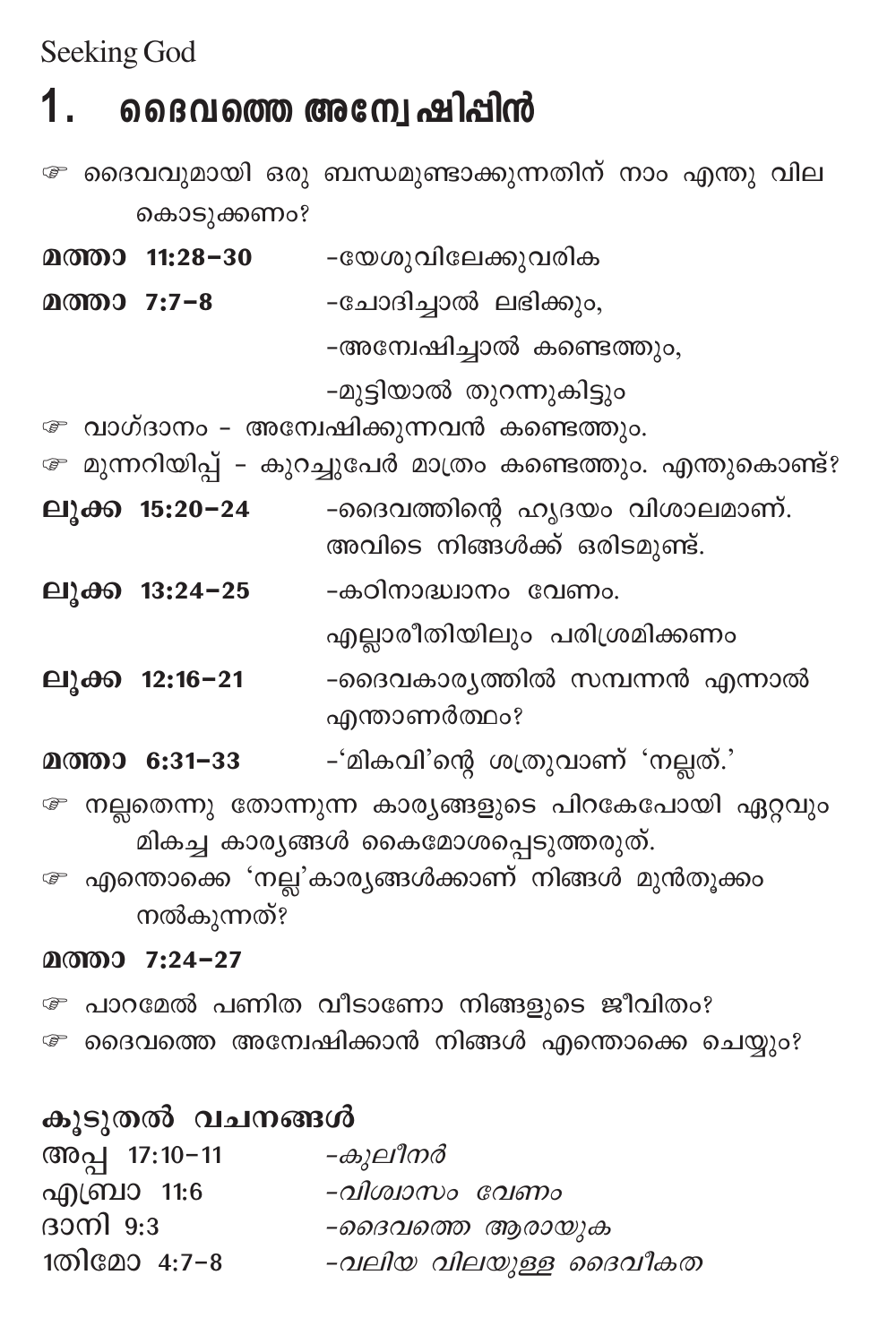Seeking God

#### 1. ദൈവത്തെ അന്വേ ഷിപ്പിൻ

േ ദൈവവുമായി ഒരു ബന്ധമുണ്ടാക്കുന്നതിന് നാം എന്തു വില കൊടുക്കണം?

മത്താ 11:28-30 -യേശുവിലേക്കുവരിക

മത്താ 7:7-8 -ചോദിച്ചാൽ ലഭിക്കും,

-അന്വേഷിച്ചാൽ കണ്ടെത്തും,

-മുട്ടിയാൽ തുറന്നുകിട്ടും

േ വാഗ്ദാനം - അമ്പേഷിക്കുന്നവൻ കണ്ടെത്തും.

```
േ മുന്നറിയിപ്പ് – കുറച്ചുപേർ മാത്രം കണ്ടെത്തും. എന്തുകൊണ്ട്?
```
- ലുക്ക 15:20-24 -ദൈവത്തിന്റെ ഹൃദയം വിശാലമാണ്. അവിടെ നിങ്ങൾക്ക് ഒരിടമുണ്ട്.
- -കഠിനാദ്ധ്വാനം വേണം. ലൂക്ക 13:24-25

എല്ലാരീതിയിലും പരിശ്രമിക്കണം

- -ദൈവകാര്യത്തിൽ സമ്പന്നൻ എന്നാൽ ലുക്ക 12:16–21 എന്താണർത്ഥം?
- -'മികവി'ന്റെ ശത്രുവാണ് 'നല്ലത്.' മത്താ 6:31-33
- േ നല്ലതെന്നു തോന്നുന്ന കാര്യങ്ങളുടെ പിറകേപോയി ഏറ്റവും മികച്ച കാര്യങ്ങൾ കൈമോശപ്പെടുത്തരുത്.
- േ എന്തൊക്കെ 'നല്ല'കാര്യങ്ങൾക്കാണ് നിങ്ങൾ മുൻതൂക്കം നൽകുന്നത്?

#### മത്താ 7:24-27

- േ പാറമേൽ പണിത വീടാണോ നിങ്ങളുടെ ജീവിതം?
- േ ദൈവത്തെ അന്വേഷിക്കാൻ നിങ്ങൾ എന്തൊക്കെ ചെയ്യും?

| കൂടുതൽ വചനങ്ങൾ |                       |  |
|----------------|-----------------------|--|
| അപ്പ 17:10-11  | -കുലീനർ               |  |
| എബ്രാ 11:6     | -വിശ്വാസം വേണം        |  |
| ദാനി $9:3$     | -ദൈവത്തെ ആരായുക       |  |
| 1തിമോ 4:7-8    | -വലിയ വിലയുള്ള ദൈവീകത |  |
|                |                       |  |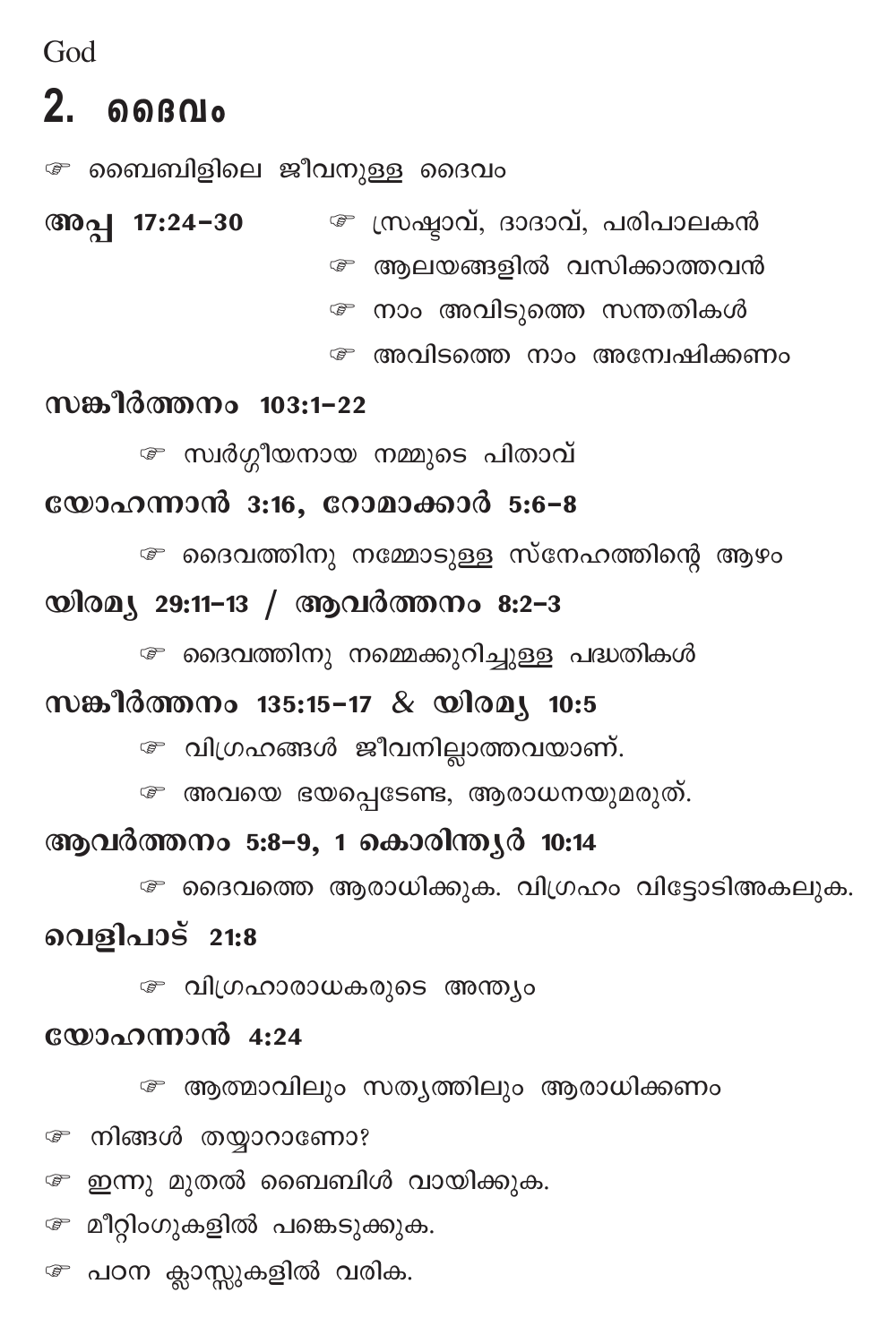$God$ 

## $2.$  <br> ถด $60$

േ ബൈബിളിലെ ജീവനുള്ള ദൈവം

☞ സ്രഷ്ടാവ്, ദാദാവ്, പരിപാലകൻ അപ്പ 17:24-30 േ ആലയങ്ങളിൽ വസിക്കാത്തവൻ േ നാം അവിടുത്തെ സന്തതികൾ

േ അവിടത്തെ നാം അമ്പേഷിക്കണം

### സങ്കീർത്തനം 103:1-22

േ സ്വർഗ്ഗീയനായ നമ്മുടെ പിതാവ്

### യോഹന്നാൻ 3:16, റോമാക്കാർ 5:6-8

േ ദൈവത്തിനു നമ്മോടുള്ള സ്നേഹത്തിന്റെ ആഴം

### യിരമ്യ 29:11-13 / ആവർത്തനം 8:2-3

േ ദൈവത്തിനു നമ്മെക്കുറിച്ചുള്ള പദ്ധതികൾ

### സങ്കീർത്തനം 135:15-17 & യിരമ്യ 10:5

േ വിഗ്രഹങ്ങൾ ജീവനില്ലാത്തവയാണ്.

േ അവയെ ഭയപ്പെടേണ്ട, ആരാധനയുമരുത്.

## ആവർത്തനം 5:8-9, 1 കൊരിന്തൃർ 10:14

േ ദൈവത്തെ ആരാധിക്കുക. വിഗ്രഹം വിട്ടോടിഅകലുക.

### വെളിപാട് 21:8

☞ വിഗ്രഹാരാധകരുടെ അന്ത്യം

### യോഹന്നാൻ 4:24

േ ആത്മാവിലും സത്യത്തിലും ആരാധിക്കണം േ നിങ്ങൾ തയ്യാറാണോ?

േ ഇന്നു മുതൽ ബൈബിൾ വായിക്കുക.

േ മീറ്റിംഗുകളിൽ പങ്കെടുക്കുക.

േ പഠന ക്ലാസ്സുകളിൽ വരിക.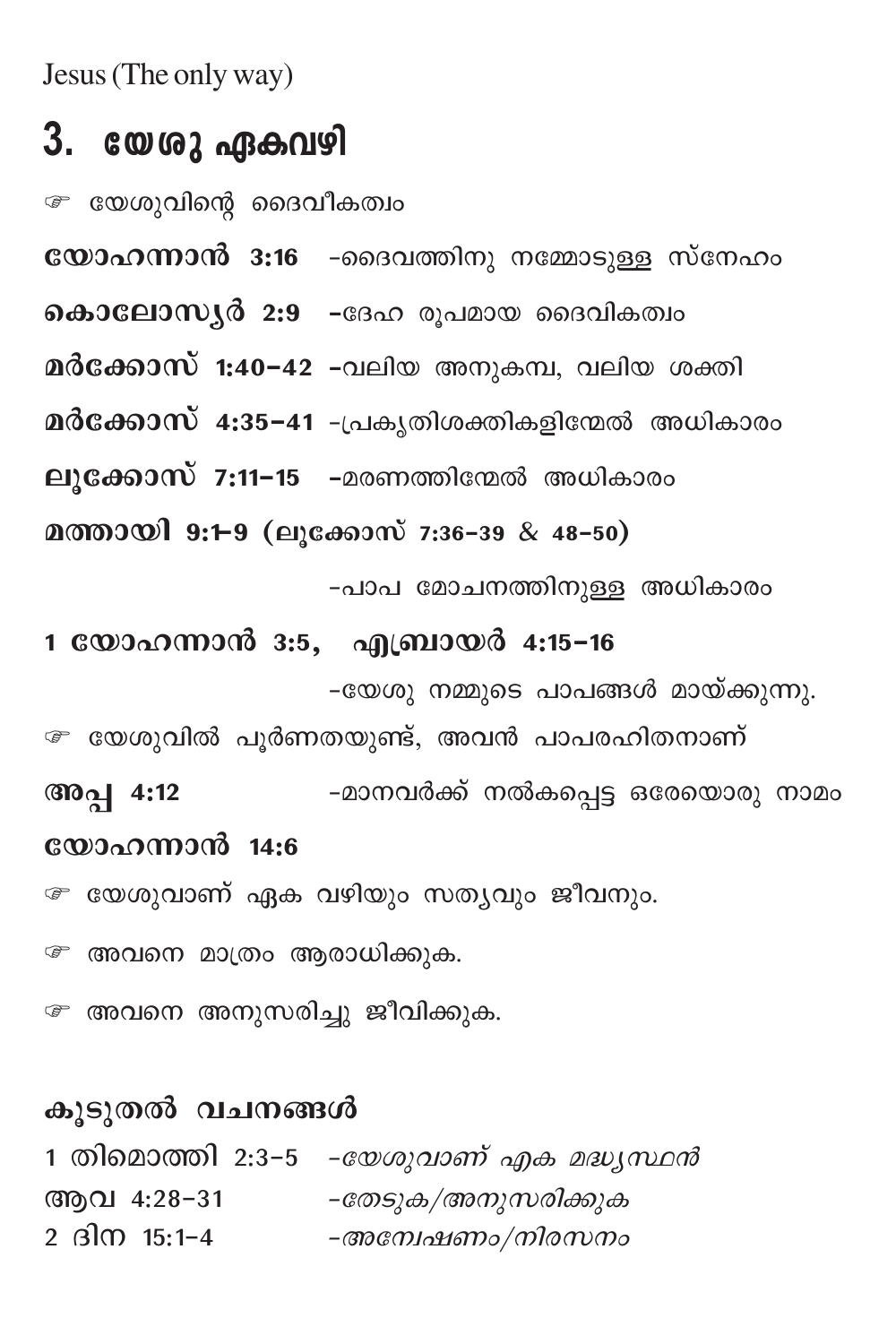Jesus (The only way)

## 3. യേശു ഏകവഴി

േ യേശുവിന്റെ ദൈവീകത്വം

യോഹന്നാൻ 3:16 -ദൈവത്തിനു നമ്മോടുള്ള സ്നേഹം

മർക്കോസ് 1:40-42 -വലിയ അനുകമ്പ, വലിയ ശക്തി

മർക്കോസ് 4:35-41 -പ്രകൃതിശക്തികളിന്മേൽ അധികാരം

ലൂക്കോസ് 7:11-15 -മരണത്തിന്മേൽ അധികാരം

മത്തായി 9:1-9 (ലൂക്കോസ് 7:36-39 & 48-50)

-പാപ മോചനത്തിനുള്ള അധികാരം

1 യോഹന്നാൻ 3:5, എബ്രായർ 4:15-16 -യേശു നമ്മുടെ പാപങ്ങൾ മായ്ക്കുന്നു.

േ യേശുവിൽ പൂർണതയുണ്ട്, അവൻ പാപരഹിതനാണ് അപ്പ 4:12 -മാനവർക്ക് നൽകപെട്ട ഒരേയൊരു നാമം യോഹന്നാൻ 14:6

േ യേശുവാണ് ഏക വഴിയും സത്യവും ജീവനും.

േ അവനെ മാത്രം ആരാധിക്കുക.

േ അവനെ അനുസരിച്ചു ജീവിക്കുക.

### കുടുതൽ വചനങ്ങൾ

1 തിമൊത്തി 2:3-5 *-യേശുവാണ് എക മദ്ധ്യസ്ഥൻ* ആവ 4:28-31 *-തേടുക/അനുസരിക്കുക* 2 ദിന 15:1-4 -അമ്പേഷണം/നിരസനം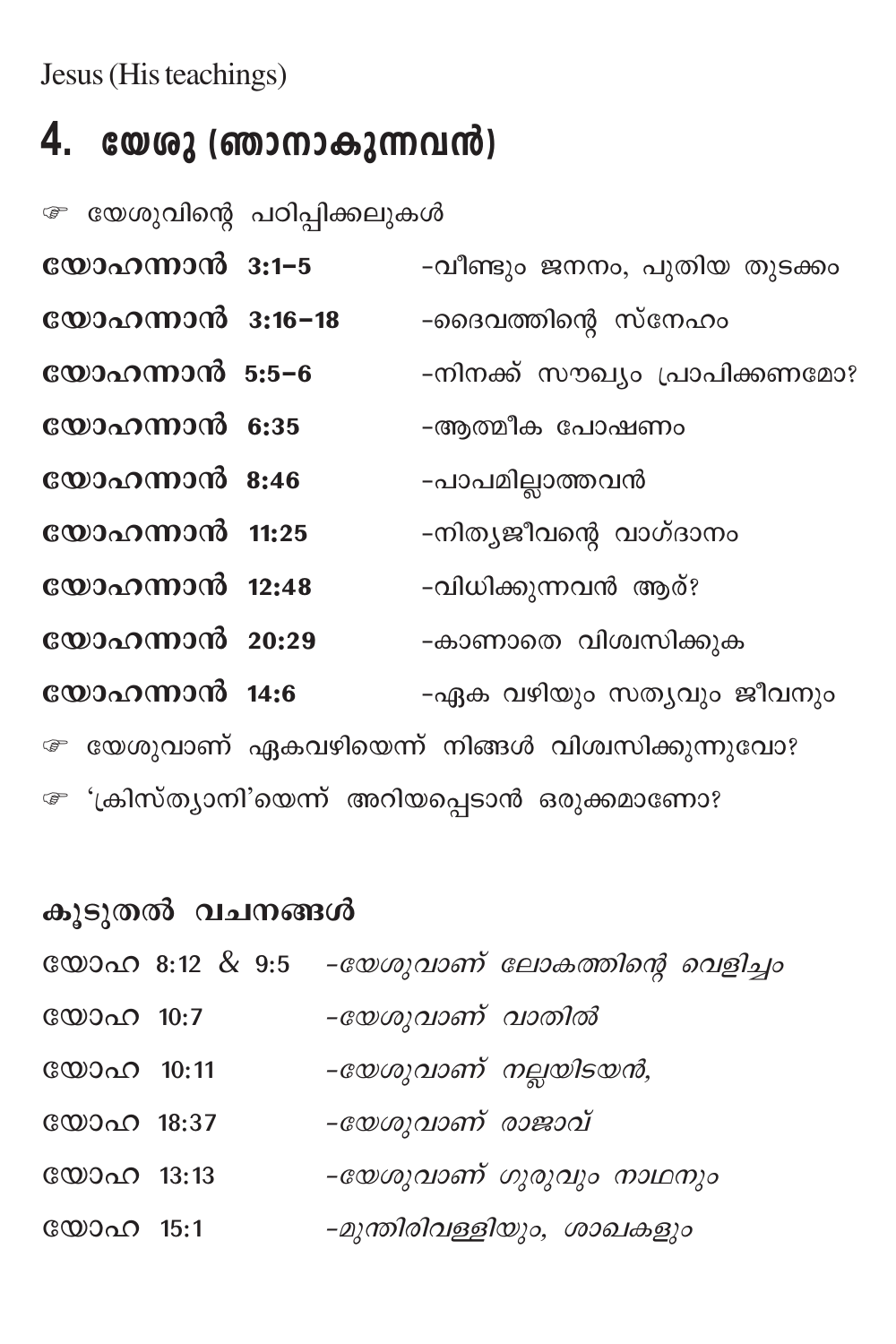Jesus (His teachings)

# **4. tbip (Rm\mIp∂h≥)**

െ യേശുവിന്റെ പഠിപ്പിക്കലുകൾ

| യോഹന്നാൻ 3:1-5   | -വീണ്ടും ജനനം, പുതിയ തുടക്കം                     |
|------------------|--------------------------------------------------|
| യോഹന്നാൻ 3:16-18 | -ദൈവത്തിന്റെ സ്നേഹം                              |
| യോഹന്നാൻ 5:5-6   | -നിനക്ക് സൗഖ്യം പ്രാപിക്കണമോ?                    |
| യോഹന്നാൻ 6:35    | -ആത്മീക പോഷണം                                    |
| യോഹന്നാൻ 8:46    | -പാപമില്ലാത്തവൻ                                  |
| യോഹന്നാൻ 11:25   | -നിത്യജീവന്റെ വാഗ്ദാനം                           |
| യോഹന്നാൻ 12:48   | -വിധിക്കുന്നവൻ ആര്?                              |
| യോഹന്നാൻ 20:29   | -കാണാതെ വിശ്വസിക്കുക                             |
| യോഹന്നാൻ 14:6    | -ഏക വഴിയും സത്യവും ജീവനും                        |
|                  | േ യേശുവാണ് ഏകവഴിയെന്ന് നിങ്ങൾ വിശ്വസിക്കുന്നുവോ? |
|                  | േ 'ക്രിസ്ത്യാനി'യെന്ന് അറിയപ്പെടാൻ ഒരുക്കമാണോ?   |

| കൂടുതൽ വചനങ്ങൾ |  |                                               |
|----------------|--|-----------------------------------------------|
|                |  | യോഹ 8:12 & 9:5 -യേശുവാണ് ലോകത്തിന്റെ വെളിച്ചാ |
| യോഹ 10:7       |  | -യേശുവാണ് വാതിൽ                               |
|                |  | -യേശുവാണ് നല്ലയിടയൻ,                          |
|                |  | -യേശുവാണ് രാജാവ്                              |
|                |  | -യേശുവാണ് ഗുരുവും നാഥനും                      |
| യോഹ 15:1       |  | -മുന്തിരിവള്ളിയും, ശാഖകളും                    |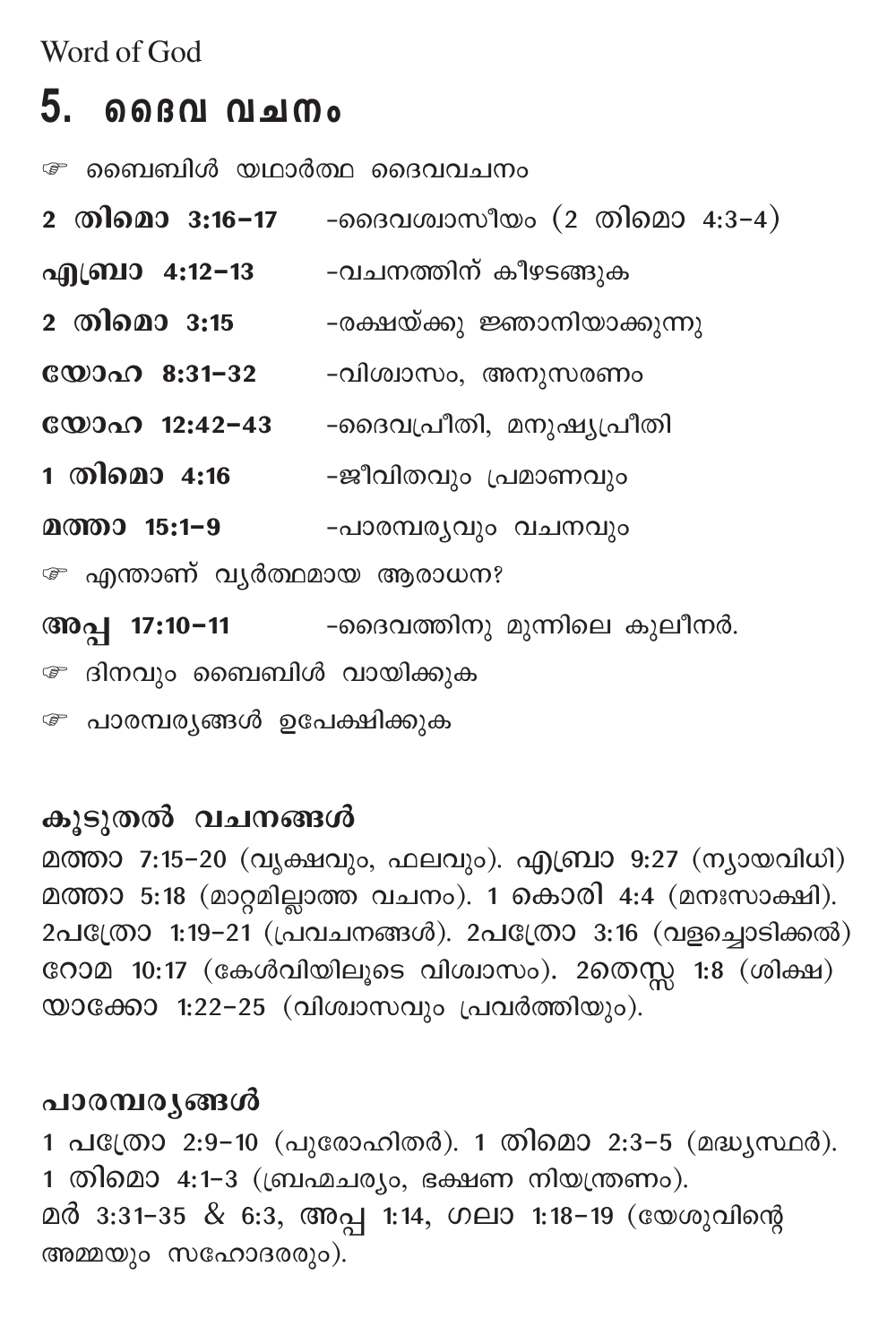Word of God

## 5. മൈവ വചനം

*േ* ബൈബിൾ യഥാർത്ഥ ദൈവവചനം

- 2 തിമൊ 3:16-17 -ദൈവശ്വാസീയം (2 തിമൊ 4:3-4)
- എബ്രാ 4:12−13 വചനത്തിന് കീഴടങ്ങുക
- 2 തിമൊ **3:15** -രക്ഷയ്ക്കു ജ്ഞാനിയാക്കുന്നു
- -വിശ്വാസം, അനുസരണം
- യോഹ 12:42-43 -ദൈവപ്രീതി, മനുഷ്യപ്രീതി
- 1 തിമൊ 4:16 ജീവിതവും പ്രമാണവും
- മത്താ 15:1–9 -പാരമ്പര്യവും വചനവും

☞ എന്താണ് വൃർത്ഥമായ ആരാധന?

-ദൈവത്തിനു മുന്നിലെ കുലീനർ. അപ്പ 17:10-11 േ ദിനവും ബൈബിൾ വായിക്കുക

േ പാരമ്പര്യങ്ങൾ ഉപേക്ഷിക്കുക

കൂടുതൽ വചനങ്ങൾ

മത്താ 7:15-20 (വൃക്ഷവും, ഫലവും). എബ്രാ 9:27 (ന്യായവിധി) മത്താ 5:18 (മാറ്റമില്ലാത്ത വചനം). 1 കൊരി 4:4 (മനഃസാക്ഷി). 2പക്രോ 1:19-21 (പ്രവചനങ്ങൾ). 2പത്രോ 3:16 (വളച്ചൊടിക്കൽ) റോമ 10:17 (കേൾവിയിലൂടെ വിശ്വാസം). 2തെസ്സ 1:8 (ശിക്ഷ) യാക്കോ 1:22-25 (വിശ്വാസവും പ്രവർത്തിയും).

## പാരമ്പര്യങ്ങൾ

1 പത്രോ 2:9-10 (പുരോഹിതർ). 1 തിമൊ 2:3-5 (മദ്ധ്യസ്ഥർ). 1 തിമൊ 4:1-3 (ബ്രഹ്മചര്യം, ഭക്ഷണ നിയന്ത്രണം). മർ 3:31–35 & 6:3, അപ്പ 1:14, ഗലാ 1:18–19 (യേശുവിന്റെ അമ്മയും സഹോദരരും).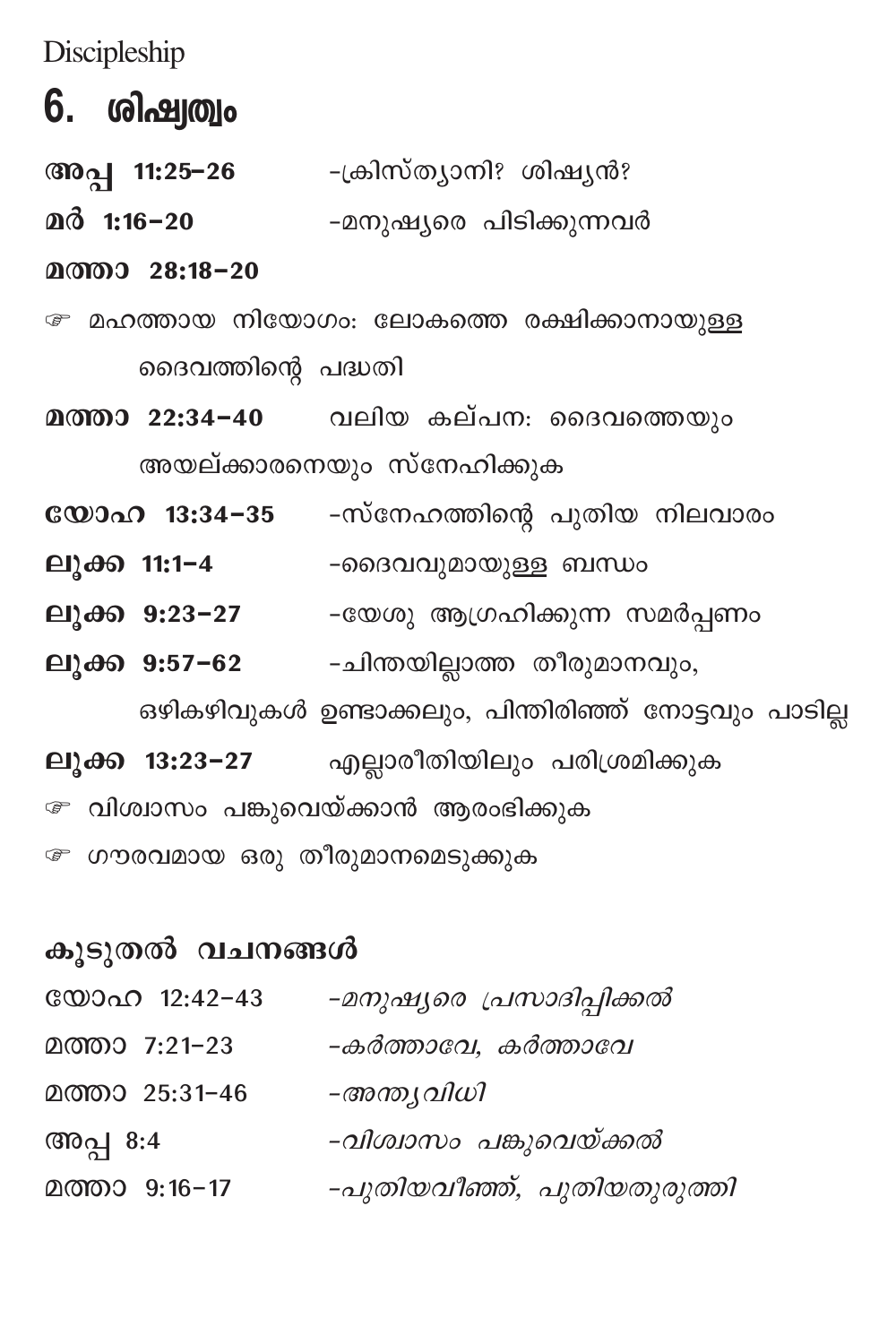Discipleship

## **6. ശിഷ്വത്വം**

അപ്പ 11:25–26 -ക്രിസ്ത്യാനി? ശിഷ്യൻ?  $20\delta$  1:16-20 -മനുഷ്യരെ പിടിക്കുന്നവർ

#### മത്താ 28:18-20

- േ മഹത്തായ നിയോഗം: ലോകത്തെ രക്ഷിക്കാനായുള്ള ദൈവത്തിന്റെ പദ്ധതി
- മത്താ 22:34-40 വലിയ കല്പന: ദൈവത്തെയും അയല്ക്കാരനെയും സ്നേഹിക്കുക
- യോഹ 13:34−35 -സ്നേഹത്തിന്റെ പുതിയ നിലവാരം
- ലൂക്ക 11:1-4 -ദൈവവുമായുള്ള ബന്ധം
- ലുക്ക 9:23–27 -യേശു ആഗ്രഹിക്കുന്ന സമർപ്പണം
- ലുക്ക 9:57-62 ചിന്തയില്ലാത്ത തീരുമാനവും,

ഒഴികഴിവുകൾ ഉണ്ടാക്കലും, പിന്തിരിഞ്ഞ് നോട്ടവും പാടില്ല

- ലുക്ക 13:23-27 എല്ലാരീതിയിലും പരിശ്രമിക്കുക
- േ വിശ്വാസം പങ്കുവെയ്ക്കാൻ ആരംഭിക്കുക
- േ ഗൗരവമായ ഒരു തീരുമാനമെടുക്കുക

### കുടുതൽ വചനങ്ങൾ

| യോഹ 12:42-43   | -മനുഷ്യരെ പ്രസാദിപ്പിക്കൽ   |
|----------------|-----------------------------|
| മത്താ 7:21-23  | -കർത്താവേ, കർത്താവേ         |
| മത്താ 25:31-46 | –അന്ത്യവിധി                 |
| അപ്പ 8:4       | -വിശ്വാസം പങ്കുവെയ്ക്കൽ     |
| മത്താ 9:16-17  | -പുതിയവീഞ്ഞ്, പുതിയതുരുത്തി |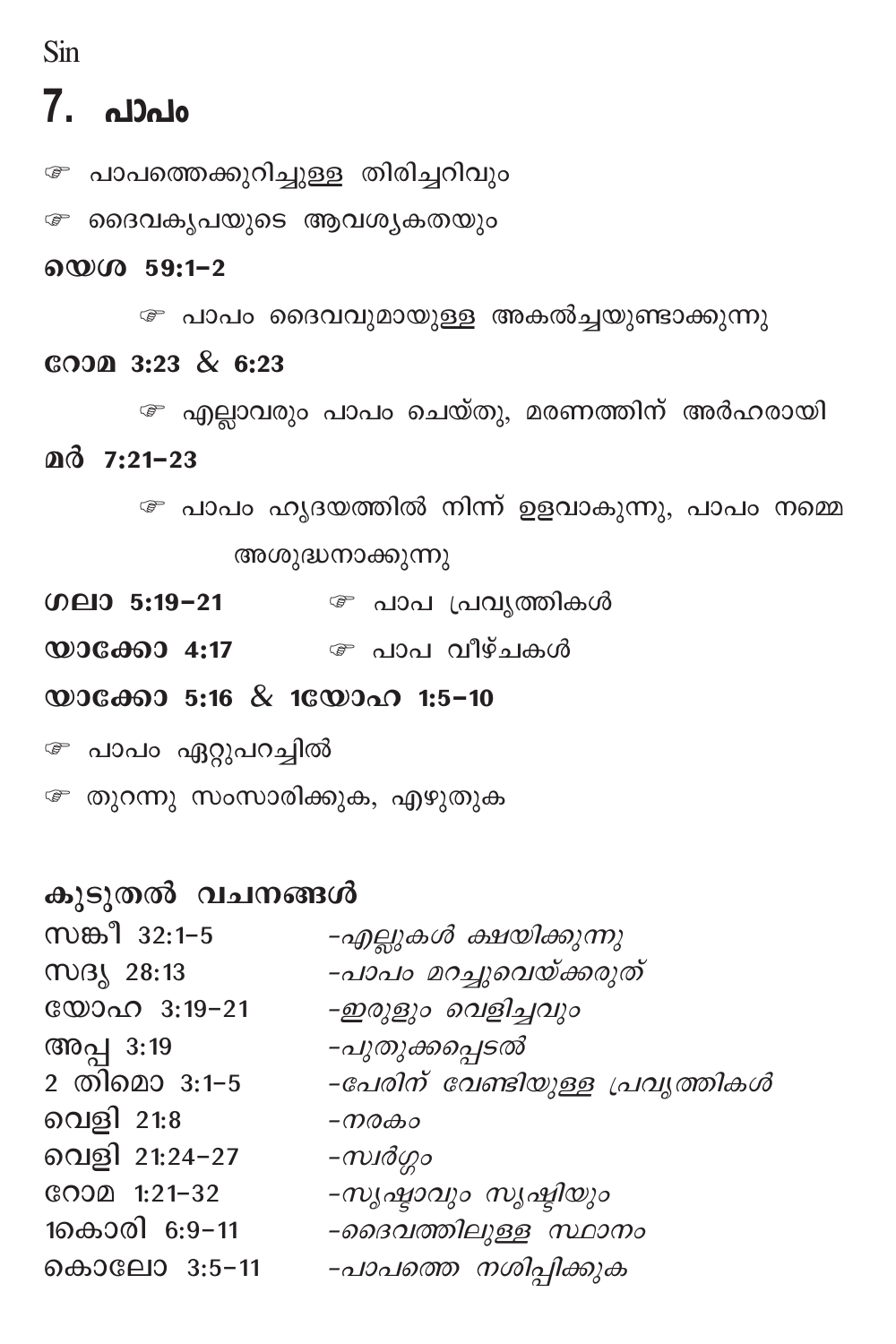Sin

## 7. പാപം

േ പാപത്തെക്കുറിച്ചുള്ള തിരിച്ചറിവും

േ ദൈവകൃപയുടെ ആവശൃകതയും

#### യെശ 59:1-2

േ പാപം ദൈവവുമായുള്ള അകൽച്ചയുണ്ടാക്കുന്നു

#### соэд 3:23 & 6:23

േ എല്ലാവരും പാപം ചെയ്തു, മരണത്തിന് അർഹരായി  $\mathbf{a}$   $\mathbf{\hat{a}}$  7:21-23

> േ പാപം ഹൃദയത്തിൽ നിന്ന് ഉളവാകുന്നു, പാപം നമ്മെ അശുദ്ധനാക്കുന്നു

 $[0]$   $[0]$   $[0]$   $[0]$   $[0]$   $[0]$   $[0]$   $[0]$   $[0]$   $[0]$   $[0]$   $[0]$   $[0]$   $[0]$   $[0]$   $[0]$   $[0]$   $[0]$   $[0]$   $[0]$   $[0]$   $[0]$   $[0]$   $[0]$   $[0]$   $[0]$   $[0]$   $[0]$   $[0]$   $[0]$   $[0]$   $[0]$   $[0]$   $[0]$   $[0]$   $[0]$   $[0]$ *േ* പാപ പ്രവൃത്തികൾ

യാക്കോ 4:17  $\qquad \qquad \mathcal{P}$  പാപ വീഴ്ചകൾ

യാക്കോ 5:16 & 1യോഹ 1:5-10

<sup>േ</sup> പാപം ഏറ്റുപറച്ചിൽ

േ തുറന്നു സംസാരിക്കുക, എഴുതുക

#### കുടുതൽ വചനങ്ങൾ

| സങ്കീ 32:1-5  | -എല്ലുകൾ ക്ഷയിക്കുന്നു          |
|---------------|---------------------------------|
| സദൃ 28:13     | -പാപം മറച്ചുവെയ്ക്കരുത്         |
| യോഹ 3:19-21   | -ഇരുളും വെളിച്ചവും              |
| അപ്പ 3:19     | -പുതുക്കപ്പെടൽ                  |
| 2 തിമൊ 3:1-5  | -പേരിന് വേണ്ടിയുള്ള പ്രവൃത്തികൾ |
| വെളി 21:8     | -നരകം                           |
| വെളി 21:24-27 | -സ്വർഗ്ഗം                       |
| GOOD 1:21-32  | -സൃഷ്ഠാവും സൃഷ്ടിയും            |
| 1കൊരി 6:9–11  | -ദൈവത്തിലുള്ള സ്ഥാനം            |
| കൊലോ 3:5-11   | -പാപത്തെ നശിപ്പിക്കുക           |
|               |                                 |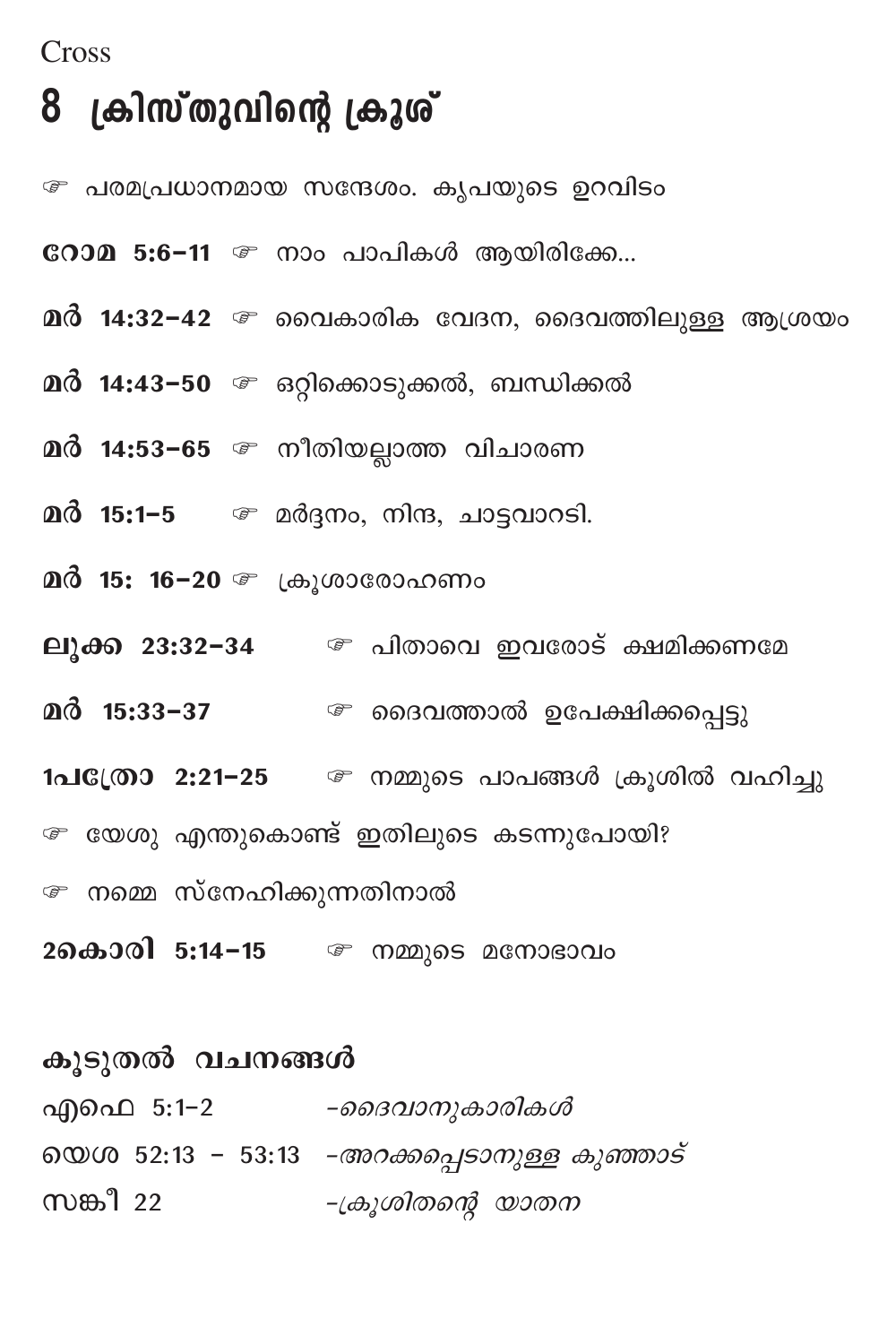#### Cross

## 8 ക്രിസ്തുവിന്റെ ക്രൂശ്

*േ* പരമപ്രധാനമായ സന്ദേശം. കൃപയുടെ ഉറവിടം

- COOM 5:6-11 @ നാം പാപികൾ ആയിരിക്കേ...
- $\mathbf{a}$ ർ 14:32-42  $\mathcal{F}$  വൈകാരിക വേദന, ദൈവത്തിലുള്ള ആശ്രയം
- 
- മർ 14:53−65 ☞ നീതിയല്ലാത്ത വിചാരണ
- മർ 15:1–5  $\qquad \qquad \circledast$  മർദ്ദനം, നിന്ദ, ചാട്ടവാറടി.
- 
- ലൂക്ക 23:32-34 @ പിതാവെ ഇവരോട് ക്ഷമിക്കണമേ
- മർ 15:33-37 െ ദൈവത്താൽ ഉപേക്ഷിക്കപ്പെട്ടു
- 1പ**്രോ 2:21-25** @ നമ്മുടെ പാപങ്ങൾ ക്രൂശിൽ വഹിച്ചു
- േ യേശു എന്തുകൊണ്ട് ഇതിലുടെ കടന്നുപോയി?
- േ നമ്മെ സ്നേഹിക്കുന്നതിനാൽ
- 2കൊരി 5:14-15 @ നമ്മുടെ മനോഭാവം

| കൂടുതൽ വചനങ്ങൾ |                                                     |
|----------------|-----------------------------------------------------|
| എഫെ 5:1−2      | -ദൈവാനുകാരികൾ                                       |
|                | യെശ 52:13 - 53:13 <i>-അറക്കപ്പെടാനുള്ള കുഞ്ഞാട്</i> |
| സങ്കീ 22       | -ക്രൂശിതന്റെ യാതന                                   |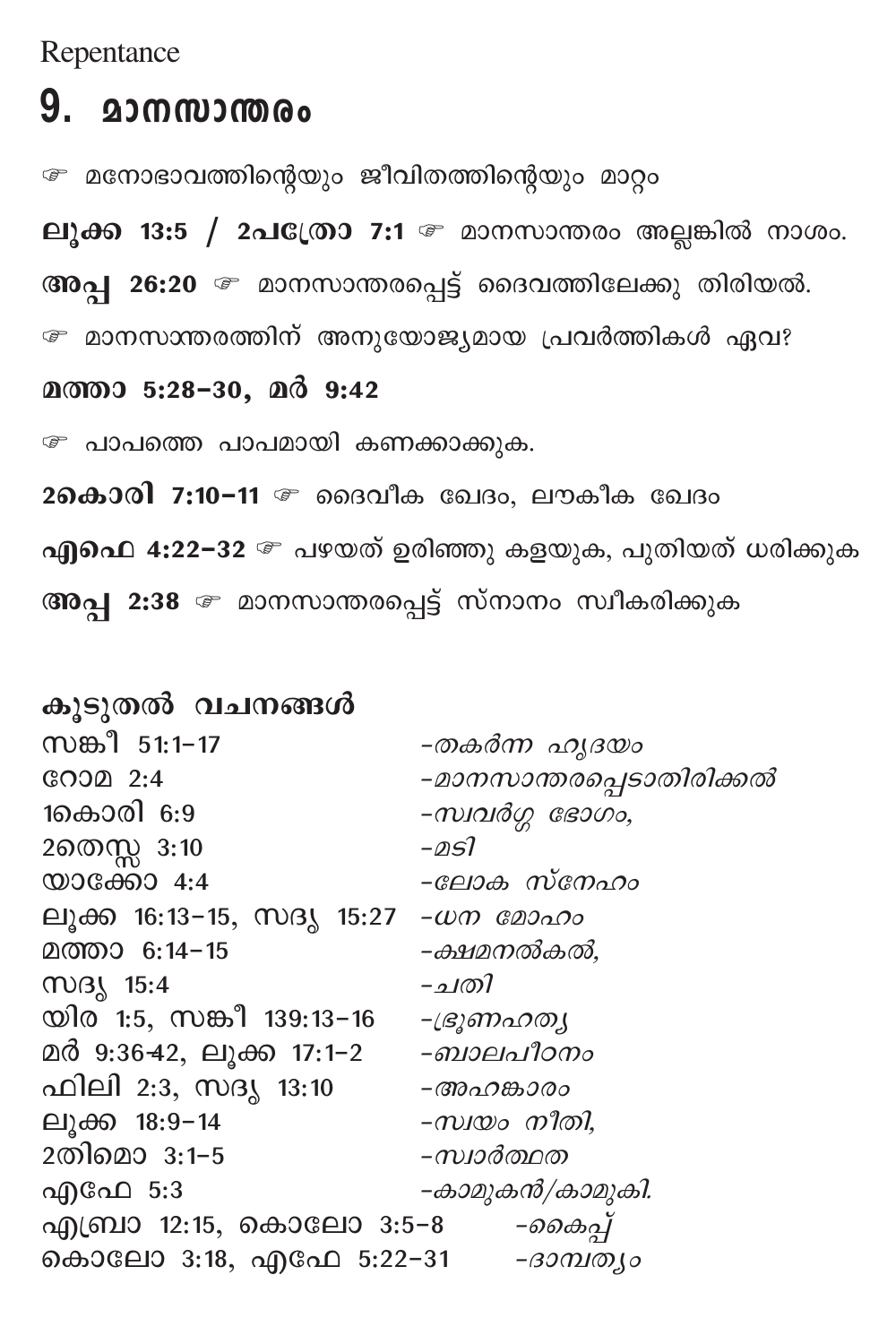Repentance

## 9. മാനസാന്തരം

േ മനോഭാവത്തിന്റെയും ജീവിതത്തിന്റെയും മാറ്റം

ലുക്ക 13:5 / 2പ $\mathbb{C}$ ത്രാ 7:1  $\mathbb{C}$  മാനസാന്തരം അല്ലങ്കിൽ നാശം.

അപ്പ 26:20 @ മാനസാന്തരപ്പെട്ട് ദൈവത്തിലേക്കു തിരിയൽ.

േ മാനസാന്തരത്തിന് അനുയോജ്യമായ പ്രവർത്തികൾ ഏവ?

മത്താ 5:28-30, മർ 9:42

േ പാപത്തെ പാപമായി കണക്കാക്കുക.

26കാരി 7:10-11 @ ദൈവീക ഖേദം, ലൗകീക ഖേദം

എഫെ 4:22−32 உ പഴയത് ഉരിഞ്ഞു കളയുക, പുതിയത് ധരിക്കുക

അപ്പ 2:38 േ മാനസാന്തരപ്പെട്ട് സ്നാനം സ്വീകരിക്കുക

കൂടുതൽ വചനങ്ങൾ സങ്കീ 51:1-17 -തകർന്ന ഹൃദയം  $C.00021$ -മാനസാന്തരപ്പെടാതിരിക്കൽ 1കൊരി 6:9  $-\omega$ ശ്ശ ഭോഗം, 2തെസ്സ 3:10  $-\triangle SI$ യാക്കോ  $4:4$ -ലോക സ്നേഹം ലൂക്ക 16:13-15, സദൃ 15:27 -*ധന മോഹം* മത്താ 6:14-15 -ക്ഷമനൽകൽ, MOB1 15:4 -ചതി യിര 1:5, സങ്കീ 139:13–16 -ഭ്രൂണഹത്യ മർ 9:36-42, ലൂക്ക 17:1-2 -*ബാലപീഠനം* ഫിലി 2:3, സദൃ 13:10 -അഹങ്കാരം ലുക്ക 18:9-14 -സ്വയം നീതി. 2തിമൊ 3:1-5 –*സ്വാർത്ഥത* –കാമുകൻ/കാമുകി. എഫേ 5:3 എബ്രാ 12:15, കൊലോ 3:5-8 *-കൈപ്പ്* കൊലോ 3:18, എഫേ 5:22-31 - *ദാമ്പത്യം*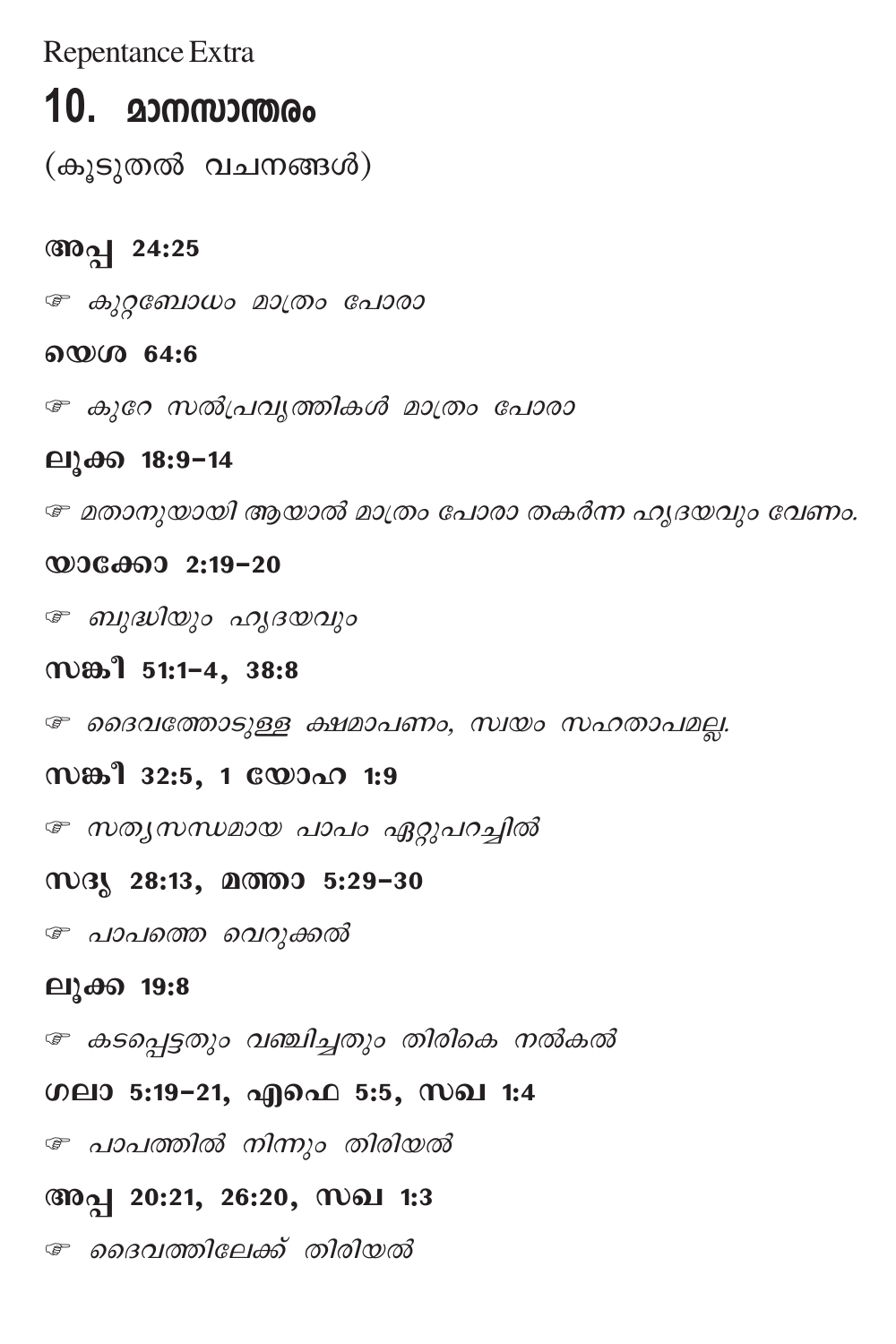Repentance Extra

## 10. മാനസാന്തരം

(കൂടുതൽ വചനങ്ങൾ)

### അപ്പ 24:25

உ കുറ്റബോധം മാത്രം പോരാ

#### യെശ 64:6

േ കുറേ സൽപ്രവൃത്തികൾ മാത്രം പോരാ

#### ലൂക്ക 18:9-14

േ മതാനുയായി ആയാൽ മാത്രം പോരാ തകർന്ന ഹൃദയവും വേണം.

#### $@0060002:19-20$

உ ബുദ്ധിയും ഹൃദയവും

### സങ്കീ 51:1-4, 38:8

േ ദൈവത്തോടുള്ള ക്ഷമാപണം, സ്വയം സഹതാപമല്ല.

### സങ്കീ 32:5, 1 യോഹ 1:9

േ സത്യസന്ധമായ പാപം ഏറ്റുപറച്ചിൽ

#### സദൃ 28:13, മത്താ 5:29-30

േ പാപത്തെ വെറുക്കൽ

#### ലുക്ക 19:8

േ കടപ്പെട്ടതും വഞ്ചിച്ചതും തിരികെ നൽകൽ

#### ഗലാ 5:19-21, എഫെ 5:5, സഖ 1:4

േ പാപത്തിൽ നിന്നും തിരിയൽ

#### അപ്പ 20:21, 26:20, സഖ 1:3

േ ദൈവത്തിലേക്ക് തിരിയൽ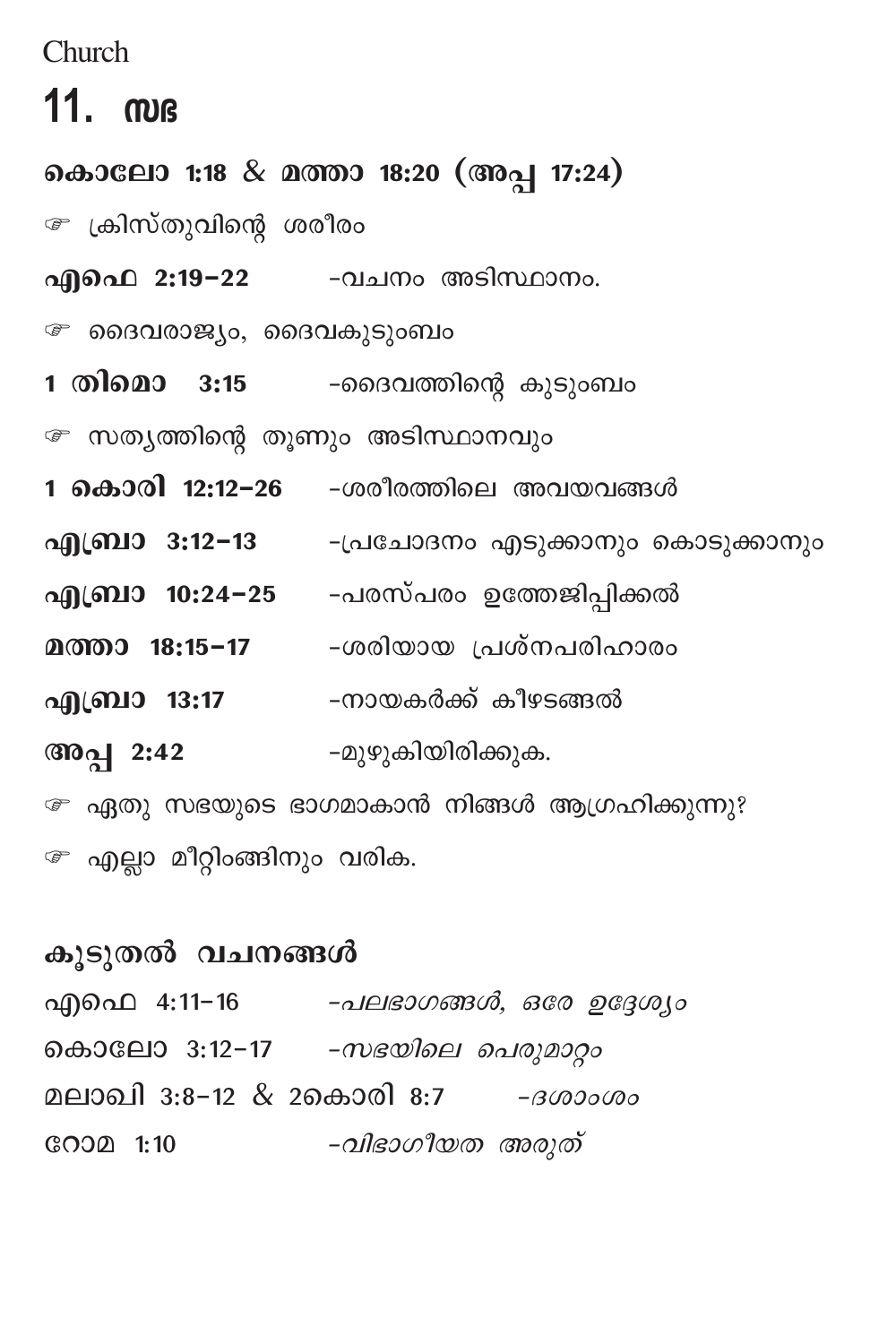Church

## $11.$   $m$  $s$

കൊലോ 1:18 & മത്താ 18:20 (അപ്പ 17:24) േ ക്രിസ്തുവിന്റെ ശരീരം എഫെ 2:19-22 -വചനം അടിസ്ഥാനം. ∞ ദൈവരാജ്യം, ദൈവകുടുംബം 1 തിമൊ 3:15 -ദൈവത്തിന്റെ കുടുംബം േ സത്യത്തിന്റെ തൂണും അടിസ്ഥാനവും 1 കൊരി 12:12-26 -ശരീരത്തിലെ അവയവങ്ങൾ എബ്രാ 3:12−13 - -പ്രചോദനം എടുക്കാനും കൊടുക്കാനും എബ്രാ 10:24−25 -പരസ്പരം ഉത്തേജിപ്പിക്കൽ മത്താ 18:15-17 -ശരിയായ പ്രശ്നപരിഹാരം എബ്രാ 13:17 -നായകർക്ക് കീഴടങ്ങൽ അപ്പ 2:42 -മുഴുകിയിരിക്കുക. േ ഏതു സഭയുടെ ഭാഗമാകാൻ നിങ്ങൾ ആഗ്രഹിക്കുന്നു?

േ എല്ലാ മീറ്റിംങ്ങിനും വരിക.

### കൂടുതൽ വചനങ്ങൾ

| എഫെ 4:11-16              | -പലഭാഗങ്ങൾ, ഒരേ ഉദ്ദേശ്യം |
|--------------------------|---------------------------|
| കൊലോ 3:12-17             | -സഭയിലെ പെരുമാറ്റം        |
| മലാഖി 3:8-12 & 2കൊരി 8:7 | - 30000000                |
| GOOD 1:10                | -വിഭാഗീയത അരുത്           |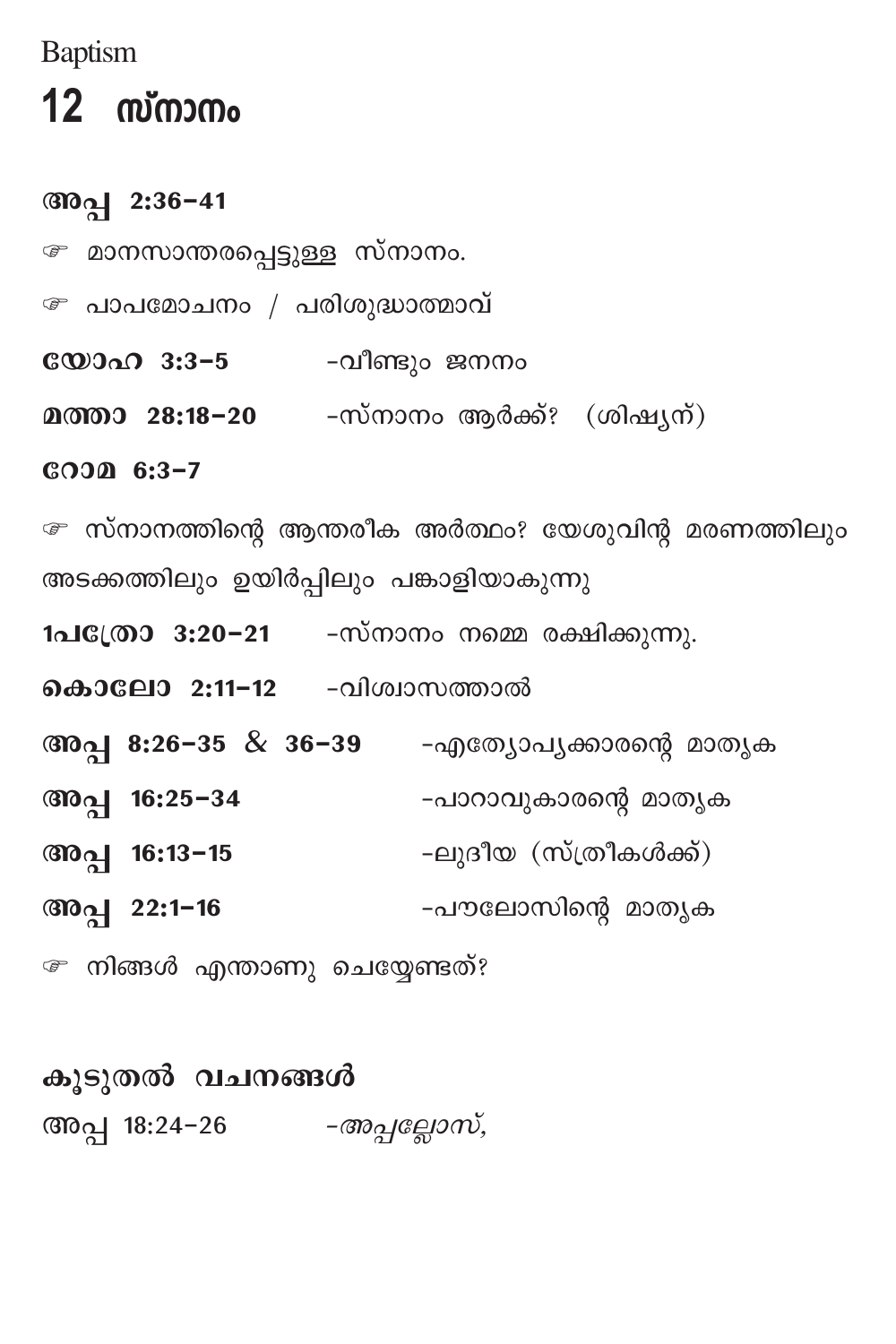**Baptism** 

## $12$  സ്നാനം

### അപ്പ 2:36-41

- *േ* മാനസാന്തരപ്പെട്ടുള്ള സ്നാനം.
- േ പാപമോചനം / പരിശുദ്ധാത്മാവ്
- **യോഹ 3:3-5** -വീണ്ടും ജനനം
- മത്താ 28:18-20 -സ്നാനം ആർക്ക്? (ശിഷ്യന്)

СООД 6:3-7

േ സ്നാനത്തിന്റെ ആന്തരീക അർത്ഥം? യേശുവിന്റ മരണത്തിലും അടക്കത്തിലും ഉയിർപ്പിലും പങ്കാളിയാകുന്നു

- 1പ**്രോ 3:20-21** -സ്നാനം നമ്മെ രക്ഷിക്കുന്നു.
- **കൊലോ 2:11-12** -വിശ്വാസത്താൽ
- അപ്പ 8:26-35 & 36-39 -എത്യോപ്യക്കാരന്റെ മാതൃക
- അപ്പ 16:25-34 -പാറാവുകാരന്റെ മാതൃക
- -ലുദീയ (സ്ത്രീകൾക്ക്) അപ്പ 16:13-15
- അപ്പ 22:1-16 -പൗലോസിന്റെ മാതൃക
- േ നിങ്ങൾ എന്താണു ചെയ്യേണ്ടത്?

കുടുതൽ വചനങ്ങൾ അപ്പ 18:24-26 *-അപ്പല്ലോസ്*,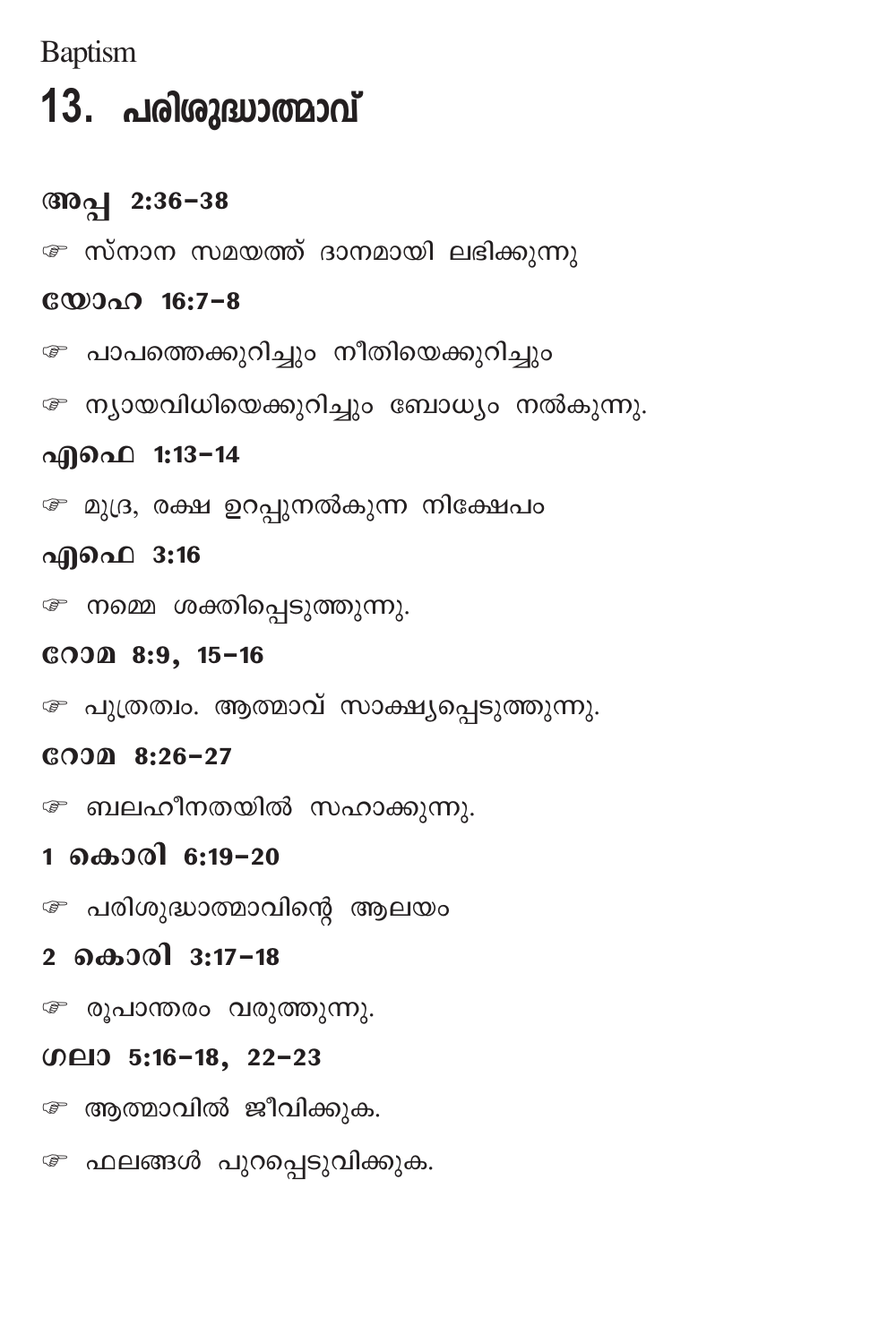**Baptism** 

# 13. പരിശുദ്ധാത്മാവ്

### അപ്പ 2:36-38

േ സ്നാന സമയത്ത് ദാനമായി ലഭിക്കുന്നു

### **COOOO 16:7-8**

േ പാപത്തെക്കുറിച്ചും നീതിയെക്കുറിച്ചും

േ ന്യായവിധിയെക്കുറിച്ചും ബോധ്യം നൽകുന്നു.

### എഫെ 1:13-14

േ മുദ്ര, രക്ഷ ഉറപ്പുനൽകുന്ന നിക്ഷേപം

### എഫെ 3:16

േ നമ്മെ ശക്തിപ്പെടുത്തുന്നു.

### СООД 8:9, 15-16

േ പുത്രത്വം. ആത്മാവ് സാക്ഷ്യപ്പെടുത്തുന്നു.

### $CO$  3.26-27

േ ബലഹീനതയിൽ സഹാക്കുന്നു.

### 1 കൊരി 6:19-20

േ പരിശുദ്ധാത്മാവിന്റെ ആലയം

### 2 കൊരി 3:17-18

*േ* രൂപാന്തരം വരുത്തുന്നു.

### 00日0 5:16-18, 22-23

േ ആത്മാവിൽ ജീവിക്കുക.

േ ഫലങ്ങൾ പുറപ്പെടുവിക്കുക.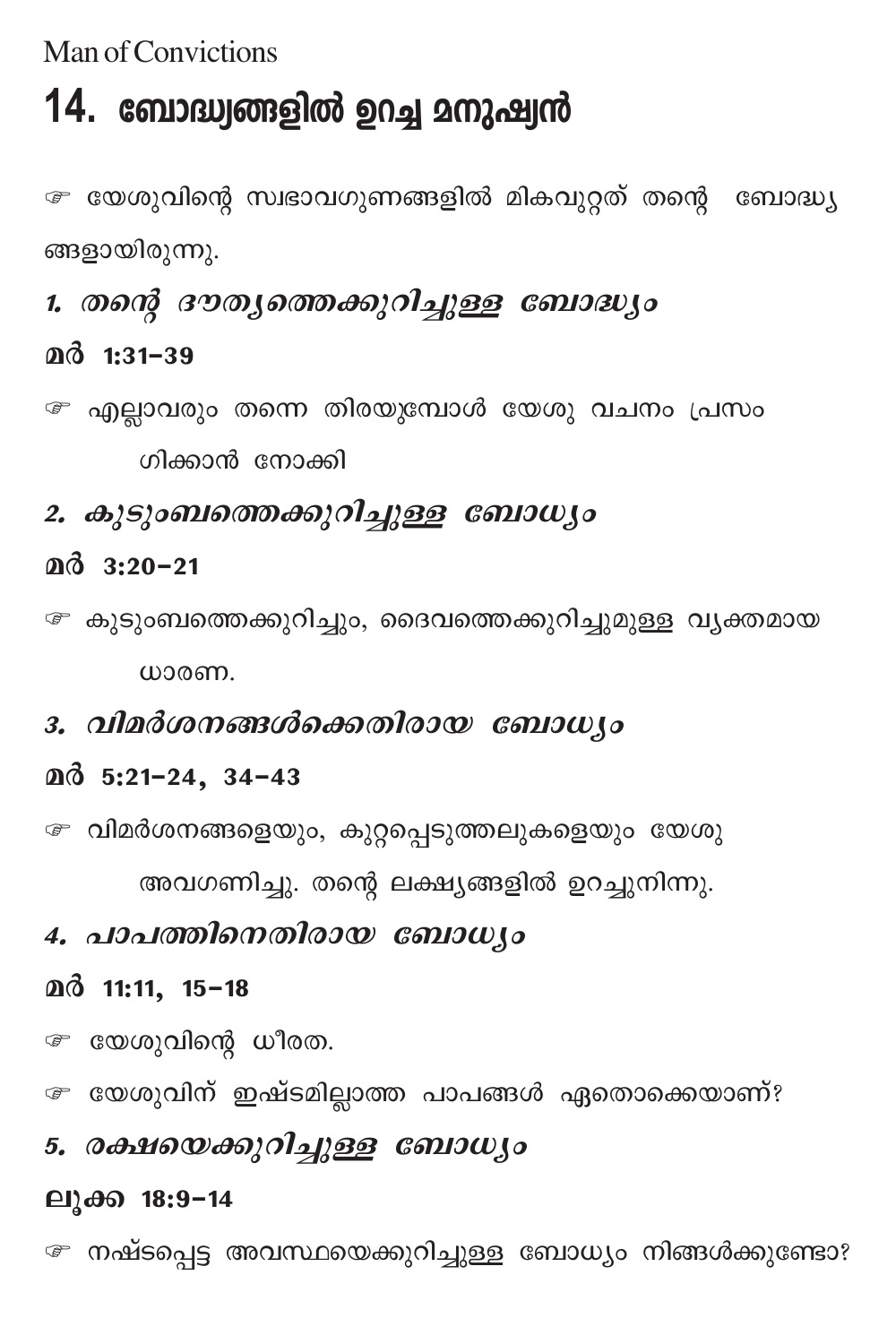Man of Convictions

# 14. ബോദ്ധ്വങ്ങളിൽ ഉറച്ച മനുഷ്വൻ

േ യേശുവിന്റെ സ്വഭാവഗുണങ്ങളിൽ മികവുറ്റത് തന്റെ ബോദ്ധ്യ ങ്ങളായിരുന്നു.

## 1. തന്റെ ദൗത്യത്തെക്കുറിച്ചുള്ള ബോദ്ധ്യം

### $@d$  1:31-39

- േ എല്ലാവരും തന്നെ തിരയുമ്പോൾ യേശു വചനം പ്രസം ഗിക്കാൻ നോക്കി
- 2. കുടുംബത്തെക്കുറിച്ചുള്ള ബോധ്യം
- $@d$  3:20-21
- േ കുടുംബത്തെക്കുറിച്ചും, ദൈവത്തെക്കുറിച്ചുമുള്ള വൃക്തമായ ധാരണ.
- 3. വിമർശനങ്ങൾക്കെതിരായ ബോധ്യം

### $@3.5:21-24, 34-43$

േ വിമർശനങ്ങളെയും, കുറ്റപ്പെടുത്തലുകളെയും യേശു

അവഗണിച്ചു. തന്റെ ലക്ഷ്യങ്ങളിൽ ഉറച്ചുനിന്നു.

### 4. പാപത്തിനെതിരായ ബോധ്യം

### മർ 11:11, 15-18

േ യേശുവിന്റെ ധീരത.

േ യേശുവിന് ഇഷ്ടമില്ലാത്ത പാപങ്ങൾ ഏതൊക്കെയാണ്?

## 5. രക്ഷയെക്കുറിച്ചുള്ള ബോധ്യം

### ലൂക്ക 18:9-14

േ നഷ്ടപ്പെട്ട അവസ്ഥയെക്കുറിച്ചുള്ള ബോധ്യം നിങ്ങൾക്കുണ്ടോ?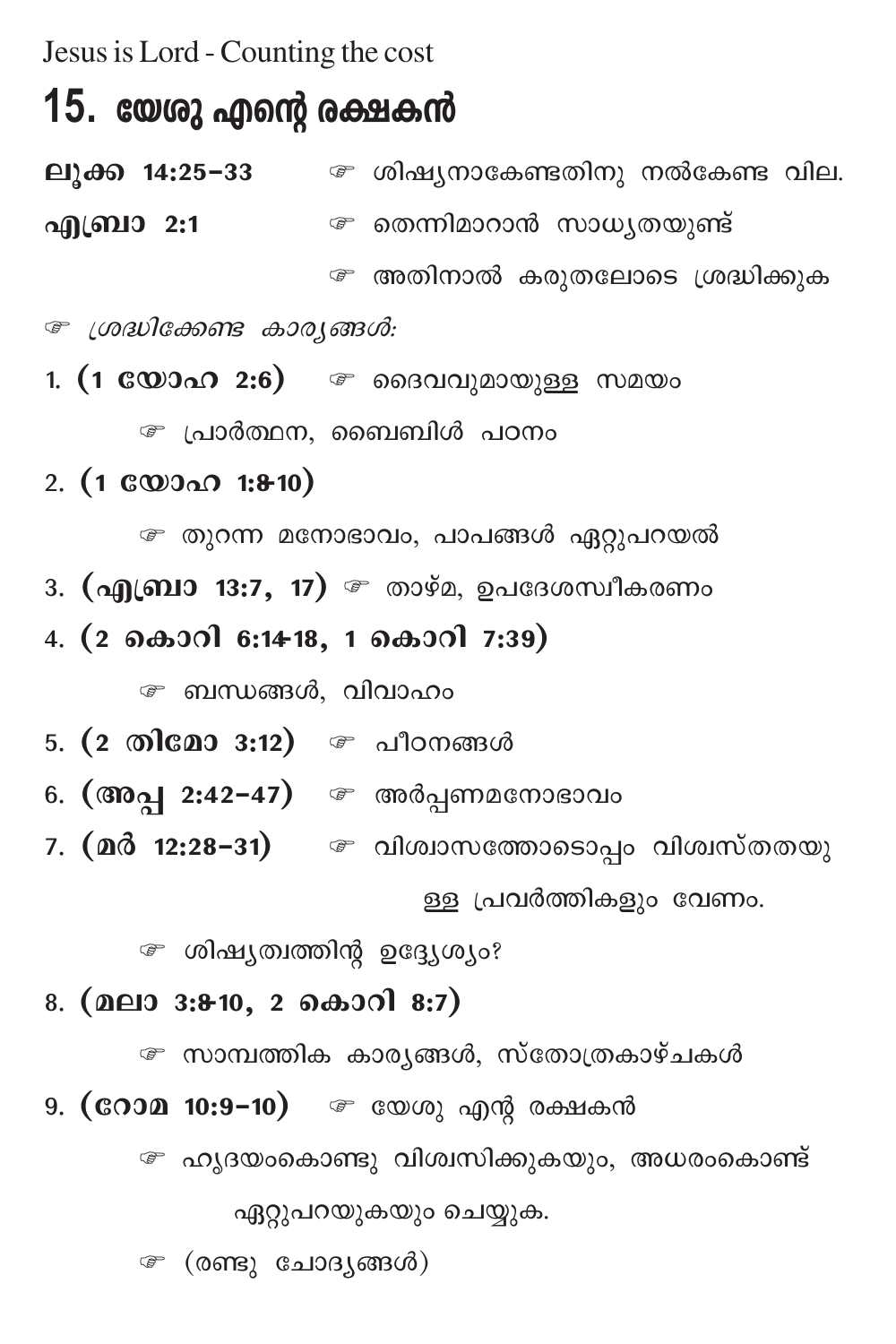Jesus is Lord - Counting the cost

## 15. യേരു എന്റെ രക്ഷകൻ

ലുക്ക 14:25-33  $\bullet$  ശിഷ്യനാകേണ്ടതിനു നൽകേണ്ട വില. എബ്രാ 2:1 ഭരണിമാറാൻ സാധ്യതയുണ്ട് േ അതിനാൽ കരുതലോടെ ശ്രദ്ധിക്കുക

*ு ശ്രദ്ധിക്കേണ്ട കാര്യങ്ങൾ:* 

1.  $(1 \oplus 2) \oplus 2.6)$   $\oplus$  ദൈവവുമായുള്ള സമയം

േ പ്രാർത്ഥന, ബൈബിൾ പഠനം

2.  $(1 \& 0)$   $(1 \& 0)$ 

േ തുറന്ന മനോഭാവം, പാപങ്ങൾ ഏറ്റുപറയൽ

- 3. (എബ്രാ 13:7, 17) *േ*താഴ്മ, ഉപദേശസ്വീകരണം
- 4. (2 കൊറി 6:14-18, 1 കൊറി 7:39)

േ ബന്ധങ്ങൾ, വിവാഹം

- 5. (2 തിമോ 3:12) © പീഠനങ്ങൾ
- 6. (അപ്പ 2:42-47) © അർപ്പണമനോഭാവം
- 7. (മർ 12:28−31) ு വിശ്വാസത്തോടൊപ്പം വിശ്വസ്തതയു ള്ള പ്രവർത്തികളും വേണം.

േ ശിഷ്യത്വത്തിന്റ ഉദ്ദ്യേശ്യം?

#### 8. (മലാ 3:8-10, 2 കൊറി 8:7)

േ സാമ്പത്തിക കാര്യങ്ങൾ, സ്തോത്രകാഴ്ചകൾ

9. (**റോമ 10:9-10**) – യേശു എന്റ രക്ഷകൻ

േ ഹൃദയംകൊണ്ടു വിശ്വസിക്കുകയും, അധരംകൊണ്ട്

ഏറ്റുപറയുകയും ചെയ്യുക.

േ (രണ്ടു ചോദ്യങ്ങൾ)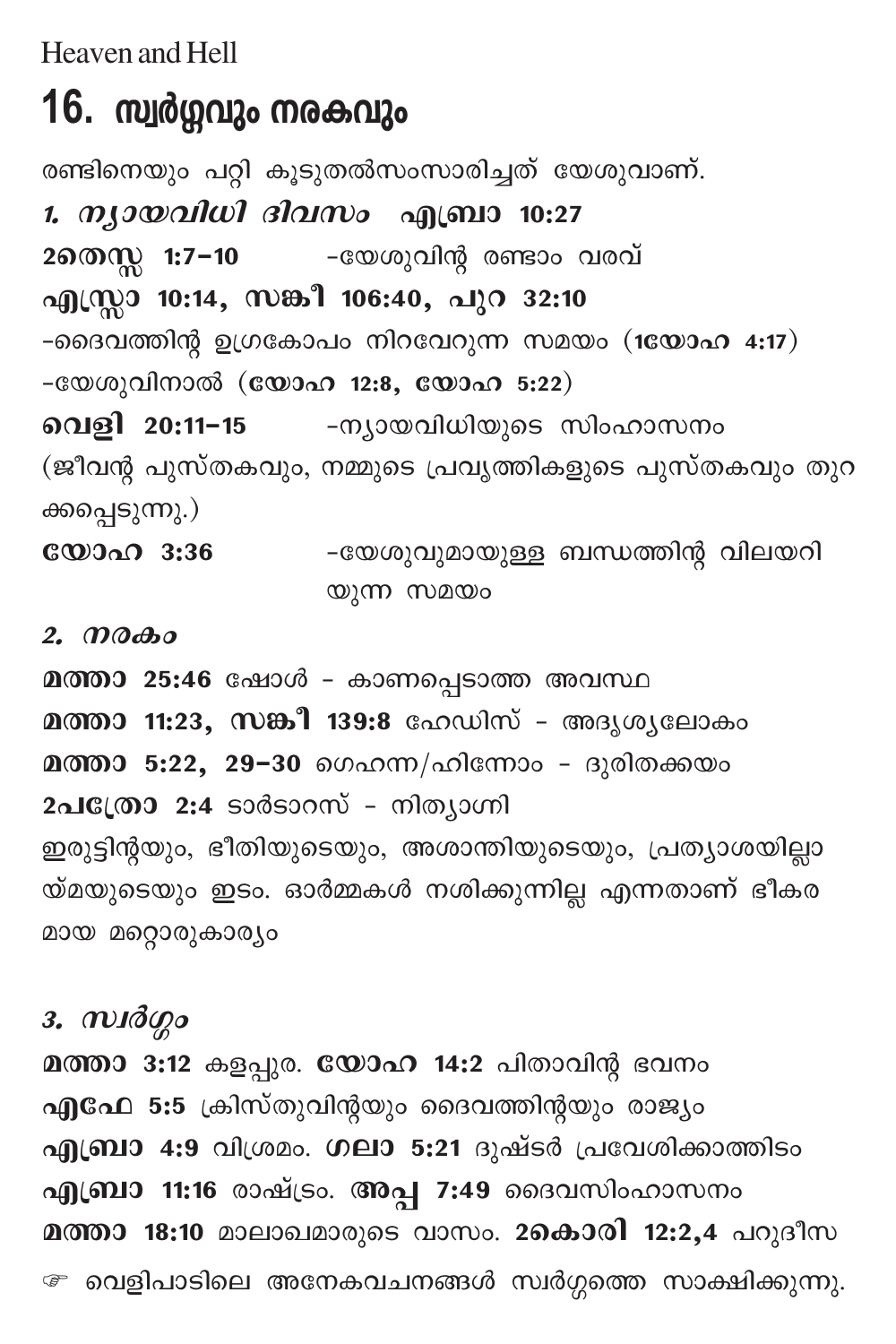Heaven and Hell

## 16. സ്വർഗ്ഗവും നരകവും

രണ്ടിനെയും പറ്റി കൂടുതൽസംസാരിച്ചത് യേശുവാണ്. *1. ന്യായവിധി ദിവസം* എബ്രാ 10:27 -യേശുവിന്റ രണ്ടാം വരവ് 2തെസ്സ 1:7−10 എസ്സാ 10:14, സങ്കീ 106:40, പുറ 32:10 -ദൈവത്തിന്റ ഉഗ്രകോപം നിറവേറുന്ന സമയം (1യോഹ 4:17) -യേശുവിനാൽ (യോഹ 12:8, യോഹ 5:22) വെളി 20:11-15 -ന്യായവിധിയുടെ സിംഹാസനം (ജീവന്റ പുസ്തകവും, നമ്മുടെ പ്രവൃത്തികളുടെ പുസ്തകവും തുറ ക്കപ്പെടുന്നു.) യോഹ 3:36 -യേശുവുമായുള്ള ബന്ധത്തിന്റ വിലയറി

യുന്ന സമയം

 $2.$   $\mathcal{D}\partial\mathcal{B}$ 

മത്താ 25:46 ഷോൾ - കാണപ്പെടാത്ത അവസ്ഥ മത്താ 11:23, സങ്കീ 139:8 ഹേഡിസ് - അദൃശൃലോകം മത്താ 5:22, 29-30 ഗെഹന്ന/ഹിന്നോം - ദുരിതക്കയം 2പപ്രോ 2:4 ടാർടാറസ് - നിത്യാഗ്നി ഇരുട്ടിന്റയും, ഭീതിയുടെയും, അശാന്തിയുടെയും, പ്രത്യാശയില്ലാ യ്മയുടെയും ഇടം. ഓർമ്മകൾ നശിക്കുന്നില്ല എന്നതാണ് ഭീകര മായ മറ്റൊരുകാര്യം

з.  $m$ лд $q$ о

മത്താ 3:12 കളപ്പുര. യോഹ 14:2 പിതാവിന്റ ഭവനം എഫേ 5:5 ക്രിസ്തുവിന്റയും ദൈവത്തിന്റയും രാജ്യം എബ്രാ 4:9 വിശ്രമം. ഗലാ 5:21 ദുഷ്ടർ പ്രവേശിക്കാത്തിടം എബ്രാ 11:16 രാഷ്ട്രം. അപ്പ 7:49 ദൈവസിംഹാസനം മത്താ 18:10 മാലാഖമാരുടെ വാസം. 2കൊരി 12:2,4 പറുദീസ േ വെളിപാടിലെ അനേകവചനങ്ങൾ സ്ഥർഗ്ഗത്തെ സാക്ഷിക്കുന്നു.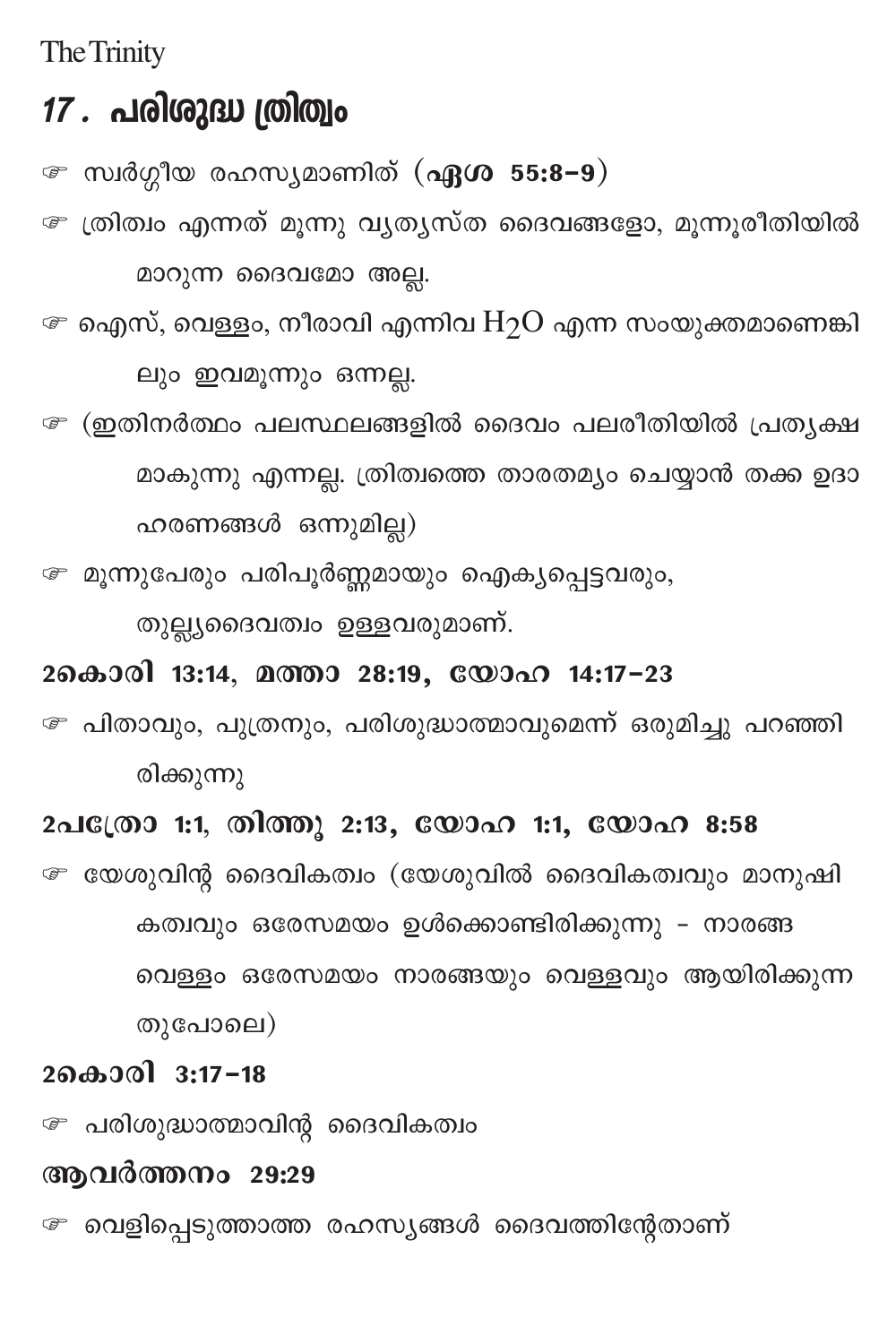The Trinity

## 17 . പരിശുദ്ധ ത്രിത്വം

*േ* സ്വർഗ്ഗീയ രഹസ്യമാണിത് (**ഏശ**55:8−9)

<sup>േ</sup>ത്രിത്വം എന്നത് മൂന്നു വ്യത്യസ്ത ദൈവങ്ങളോ, മൂന്നൂരീതിയിൽ മാറുന്ന ദൈവമോ അല്ല.

 $\bm{\varpi}$  ഐസ്, വെള്ളം, നീരാവി എന്നിവ $\rm H_2O$  എന്ന സംയുക്തമാണെങ്കി ലും ഇവമൂന്നും ഒന്നല്ല.

േ (ഇതിനർത്ഥം പലസ്ഥലങ്ങളിൽ ദൈവം പലരീതിയിൽ പ്രത്യക്ഷ മാകുന്നു എന്നല്ല. ത്രിത്വത്തെ താരതമ്യം ചെയ്യാൻ തക്ക ഉദാ ഹരണങ്ങൾ ഒന്നുമില്ല)

≅ മൂന്നുപേരും പരിപൂർണ്ണമായും ഐക്യപ്പെട്ടവരും,

തുല്ല്യദൈവത്വം ഉള്ളവരുമാണ്.

### 2കൊരി 13:14, മത്താ 28:19, യോഹ 14:17-23

േ പിതാവും, പുത്രനും, പരിശുദ്ധാത്മാവുമെന്ന് ഒരുമിച്ചു പറഞ്ഞി രിക്കുന്നു

### 2പക്രോ 1:1, തിത്തു 2:13, യോഹ 1:1, യോഹ 8:58

േ യേശുവിന്റ ദൈവികത്വം (യേശുവിൽ ദൈവികത്വവും മാനുഷി കത്വവും ഒരേസമയം ഉൾക്കൊണ്ടിരിക്കുന്നു - നാരങ്ങ വെള്ളം ഒരേസമയം നാരങ്ങയും വെള്ളവും ആയിരിക്കുന്ന തുപോലെ)

### 2കൊരി 3:17-18

േ പരിശുദ്ധാത്മാവിന്റ ദൈവികത്വം

### ആവർത്തനം 29:29

േ വെളിപ്പെടുത്താത്ത രഹസ്യങ്ങൾ ദൈവത്തിന്റേതാണ്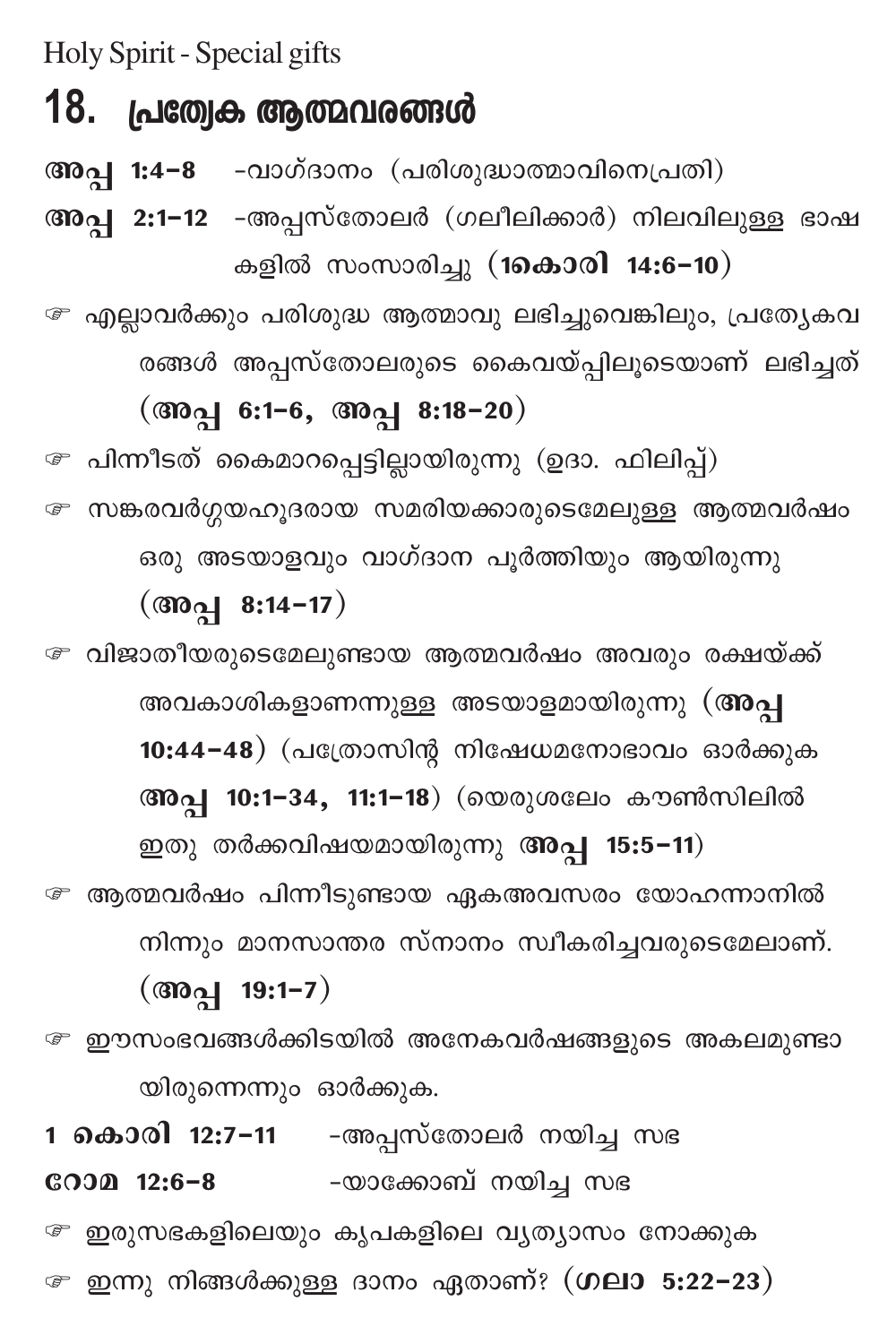Holy Spirit - Special gifts

## 18. പ്രത്വേക ആത്മവരങ്ങൾ

അപ്പ 1:4-8 -വാഗ്ദാനം (പരിശുദ്ധാത്മാവിനെപ്രതി)

അപ്പ 2:1-12 -അപ്പസ്തോലർ (ഗലീലിക്കാർ) നിലവിലുള്ള ഭാഷ കളിൽ സംസാരിച്ചു (1കൊരി 14:6-10)

<sup>േ</sup> എല്ലാവർക്കും പരിശുദ്ധ ആത്മാവു ലഭിച്ചുവെങ്കിലും, പ്രത്യേകവ രങ്ങൾ അപ്പസ്തോലരുടെ കൈവയ്പ്പിലൂടെയാണ് ലഭിച്ചത്

## (അപ്പ 6:1-6, അപ്പ 8:18-20)

േ പിന്നീടത് കൈമാറപ്പെട്ടില്ലായിരുന്നു (ഉദാ. ഫിലിപ്പ്) േ സങ്കരവർഗ്ഗയഹൂദരായ സമരിയക്കാരുടെമേലുള്ള ആത്മവർഷം ഒരു അടയാളവും വാഗ്ദാന പൂർത്തിയും ആയിരുന്നു

 $(\circled{3001} \quad 8:14-17)$ 

*േ* വിജാതീയരുടെമേലുണ്ടായ ആത്മവർഷം അവരും രക്ഷയ്ക്ക് അവകാശികളാണന്നുള്ള അടയാളമായിരുന്നു (അപ്പ 10:44-48) (പത്രോസിന്റ നിഷേധമനോഭാവം ഓർക്കുക അപ്പ 10:1−34, 11:1−18) (യെരുശലേം കൗൺസിലിൽ

ഇതു തർക്കവിഷയമായിരുന്നു അപ്പ 15:5-11) േ ആത്മവർഷം പിന്നീടുണ്ടായ ഏകഅവസരം യോഹന്നാനിൽ നിന്നും മാനസാന്തര സ്നാനം സ്ഥീകരിച്ചവരുടെമേലാണ്.  $(\text{mod} 19:1-7)$ 

േ ഈസംഭവങ്ങൾക്കിടയിൽ അനേകവർഷങ്ങളുടെ അകലമുണ്ടാ യിരുന്നെന്നും ഓർക്കുക.

1 **കൊരി 12:7-11** -അപ്പസ്തോലർ നയിച്ച സഭ -യാക്കോബ് നയിച്ച സഭ  $CODD$  12:6-8 േ ഇരുസഭകളിലെയും കൃപകളിലെ വ്യത്യാസം നോക്കുക ⊕ ഇന്നു നിങ്ങൾക്കുള്ള ദാനം ഏതാണ്? (ഗലാ 5:22−23)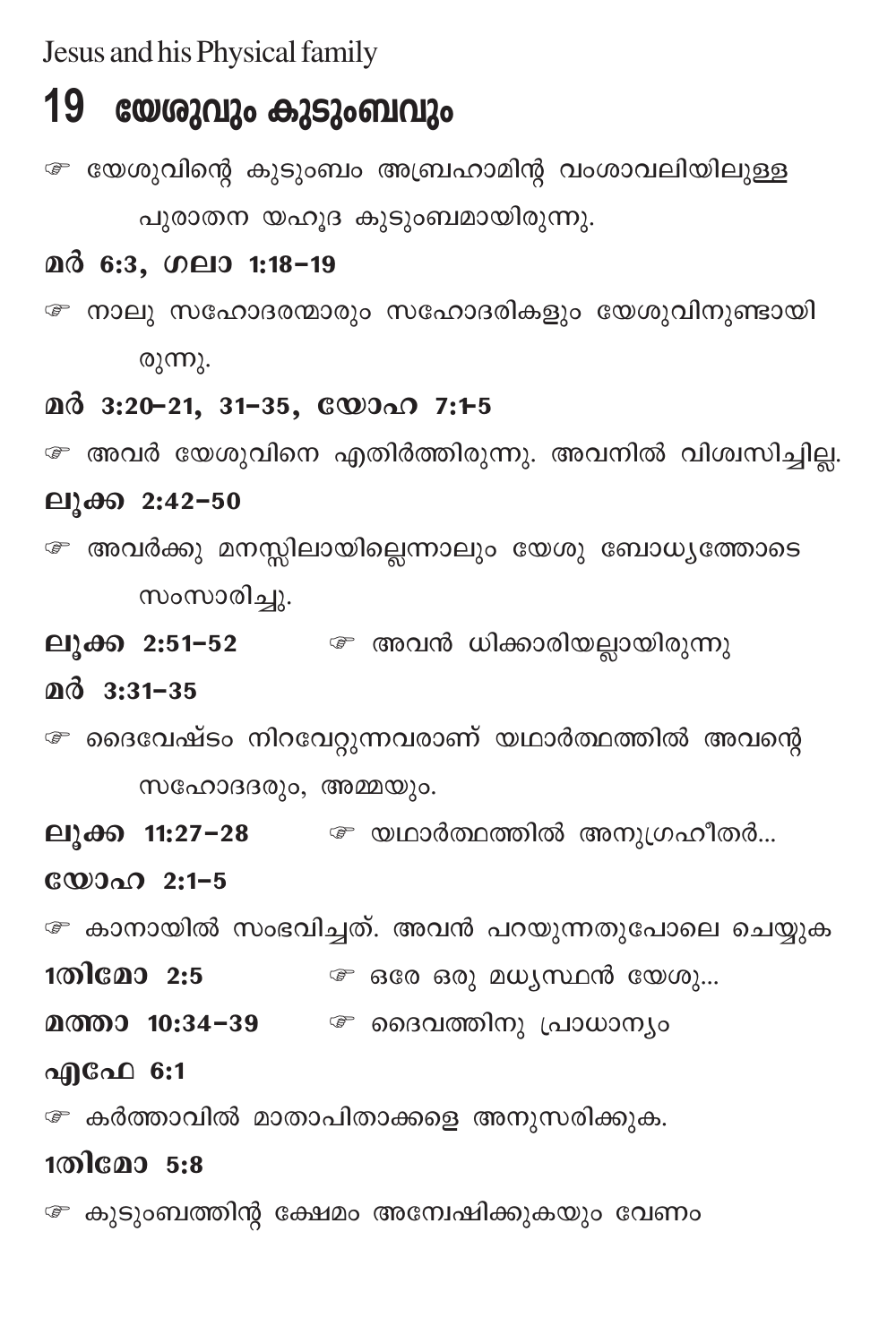Jesus and his Physical family

## 19 യേരുവും കുടുംബവും

േ യേശുവിന്റെ കുടുംബം അബ്രഹാമിന്റ വംശാവലിയിലുള്ള പുരാതന യഹൂദ കുടുംബമായിരുന്നു.

### മർ 6:3, ഗലാ 1:18-19

```
േ നാലു സഹോദരന്മാരും സഹോദരികളും യേശുവിനുണ്ടായി
രുന്നു.
```
### $\mathbf{0} \mathbf{0}$  3:20-21, 31-35,  $\mathbf{C} \mathbf{D}$  0.0 7:1-5

േ അവർ യേശുവിനെ എതിർത്തിരുന്നു. അവനിൽ വിശ്വസിച്ചില്ല.

### ലൂക്ക 2:42-50

േ അവർക്കു മനസ്സിലായില്ലെന്നാലും യേശു ബോധ്യത്തോടെ സംസാരിച്ചു.

ലൂക്ക 2:51–52 @ അവൻ ധിക്കാരിയല്ലായിരുന്നു

### $@d$  3:31-35

☞ ദൈവേഷ്ടം നിറവേറ്റുന്നവരാണ് യഥാർത്ഥത്തിൽ അവന്റെ സഹോദദരും, അമ്മയും.

ലുക്ക 11:27-28 @ യഥാർത്ഥത്തിൽ അനുഗ്രഹീതർ...

യോഹ 2:1-5

േ കാനായിൽ സംഭവിച്ചത്. അവൻ പറയുന്നതുപോലെ ചെയ്യുക

1തിമോ 2:5 *േ* ഒരേ ഒരു മധൃസ്ഥൻ യേശു...

മത്താ 10:34-39 @ ദൈവത്തിനു പ്രാധാന്യം

### എഫേ 6:1

േ കർത്താവിൽ മാതാപിതാക്കളെ അനുസരിക്കുക.

### 1തിമോ 5:8

േ കുടുംബത്തിന്റ ക്ഷേമം അന്വേഷിക്കുകയും വേണം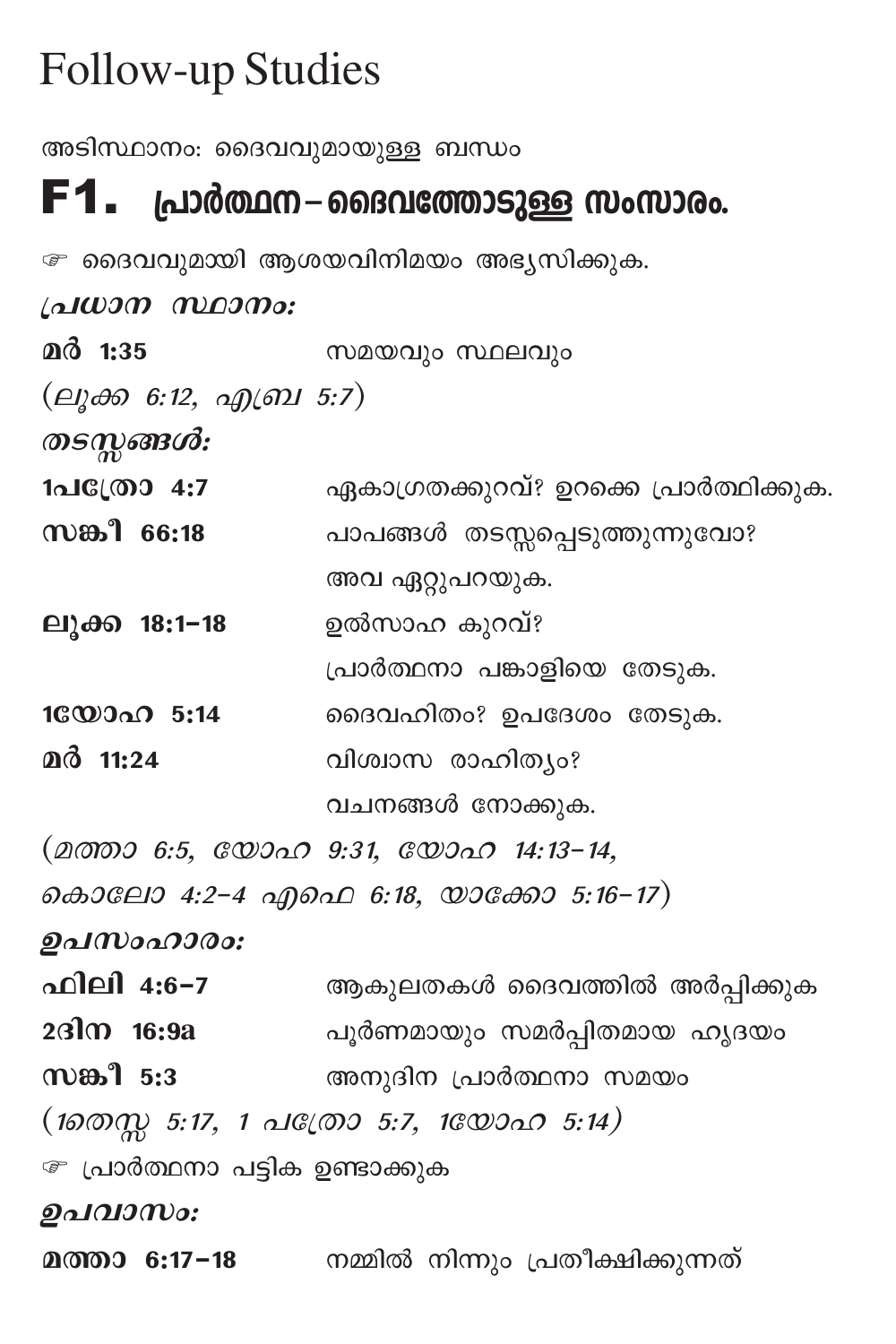# **Follow-up Studies**

അടിസ്ഥാനം: ദൈവവുമായുള്ള ബന്ധം

## $F1.$  പ്രാർത്ഥന–ദൈവത്തോടുള്ള സംസാരം.

േ ദൈവവുമായി ആശയവിനിമയം അഭ്യസിക്കുക.

| പ്രധാന സ്ഥാനം:         |                                        |
|------------------------|----------------------------------------|
| മർ 1:35                | സമയവും സ്ഥലവും                         |
| (ലൂക്ക 6:12, എബ്ര 5:7) |                                        |
| തടസ്സങ്ങൾ:             |                                        |
| 1പക്രോ 4:7             | ഏകാഗ്രതക്കുറവ്? ഉറക്കെ പ്രാർത്ഥിക്കുക. |
| സങ്കീ 66:18            | പാപങ്ങൾ തടസ്സപ്പെടുത്തുന്നുവോ?         |
|                        | അവ ഏറ്റുപറയുക.                         |
| ലൂക്ക 18:1-18          | ഉൽസാഹ കുറവ്?                           |
|                        | പ്രാർത്ഥനാ പങ്കാളിയെ തേടുക.            |
| 10000005:14            | ദൈവഹിതം? ഉപദേശം തേടുക.                 |
| മർ 11:24               | വിശ്വാസ രാഹിത്യം?                      |
|                        | വചനങ്ങൾ നോക്കുക.                       |
|                        | (മത്താ 6:5, യോഹ 9:31, യോഹ 14:13-14,    |
|                        | കൊലോ 4:2-4 എഫെ 6:18, യാക്കോ 5:16-17)   |
| ഉപസംഹാരം:              |                                        |
| ഫിലി 4:6-7             | ആകുലതകൾ ദൈവത്തിൽ അർപ്പിക്കുക           |
|                        |                                        |

2ദിന 16:9a ചൂർണമായും സമർപ്പിതമായ ഹൃദയം

 $\boldsymbol{\mathfrak{w}}$ ങ്കീ 5:3 ആനുദിന പ്രാർത്ഥനാ സമയം

 $(1000\frac{m}{N})$  5:17, 1  $\Delta 1$  ( $(0005)$  5:7,  $1$  $(0000\Delta 0)$  5:14)

േ പ്രാർത്ഥനാ പട്ടിക ഉണ്ടാക്കുക

ഉപവാസം:

മത്താ 6:17−18 നമ്മിൽ നിന്നും പ്രതീക്ഷിക്കുന്നത്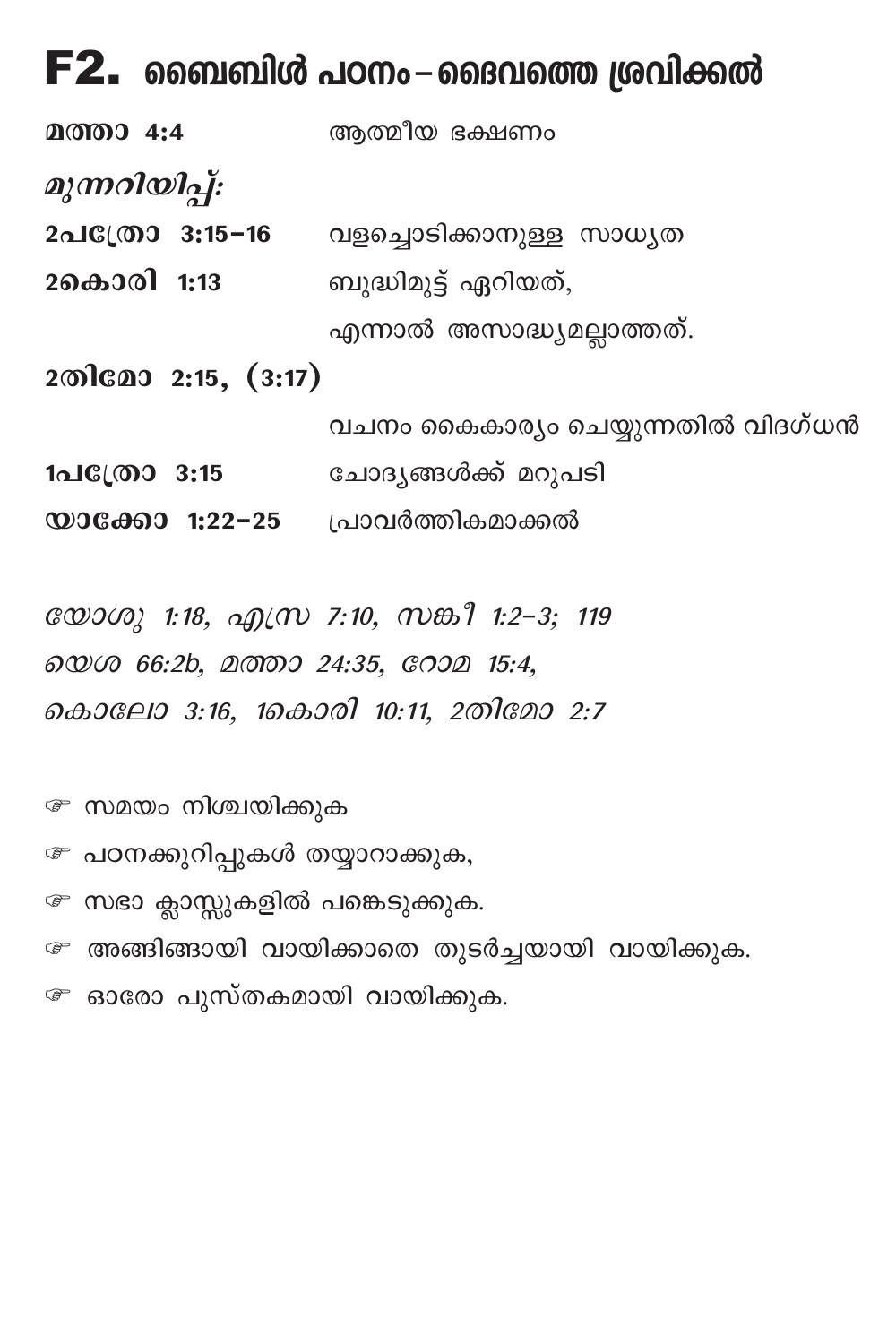## $F2$ . ബൈബിൾ പഠനം $-$ ദൈവത്തെ ശ്രവിക്കൽ

- മത്താ 4:4 ആത്മീയ ഭക്ഷണം
- മുന്നറിയിപ്പ്:
- 2പത്രോ 3:15-16 വളച്ചൊടിക്കാനുള്ള സാധൃത 2കൊരി 1:13 ബുദ്ധിമുട്ട് ഏറിയത്,

എന്നാൽ അസാദ്ധ്യമല്ലാത്തത്.

200 cao 2:15, (3:17)

വചനം കൈകാര്യം ചെയ്യുന്നതിൽ വിദഗ്ധൻ

- 1പ**്രോ 3:15** ചോദൃങ്ങൾക്ക് മറുപടി
- $\omega$ ാക്കോ 1:22-25 പ്രാവർത്തികമാക്കൽ

യോശു 1:18, എസ്ര 7:10, സങ്കീ 1:2-3; 119 லை 66:2b, உணவை 24:35, வேட 15:4, കൊലോ 3:16, 1കൊരി 10:11, 2തിമോ 2:7

േ സമയം നിശ്ചയിക്കുക

- േ പഠനക്കുറിപ്പുകൾ തയ്യാറാക്കുക,
- േ സഭാ ക്ലാസ്സുകളിൽ പങ്കെടുക്കുക.
- േ അങ്ങിങ്ങായി വായിക്കാതെ തുടർച്ചയായി വായിക്കുക. േ ഓരോ പുസ്തകമായി വായിക്കുക.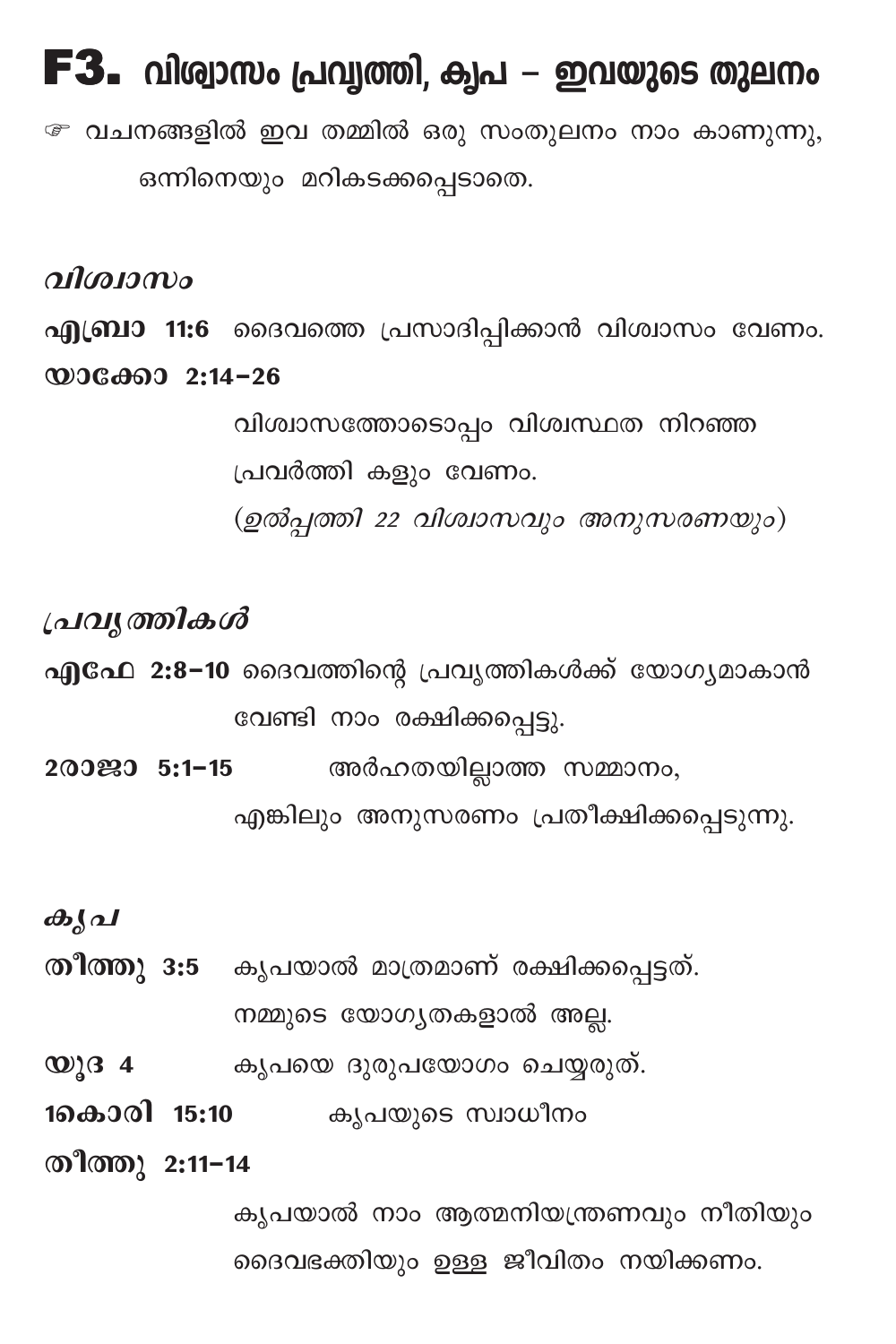# $F3.$  വിര്വാസം പ്രവ്വത്തി, കൃപ – ഇവയുടെ തുലനം

േ വചനങ്ങളിൽ ഇവ തമ്മിൽ ഒരു സംതുലനം നാം കാണുന്നു, ഒന്നിനെയും മറികടക്കപ്പെടാതെ.

വിശ്വാസം

എബ്രാ 11:6 ദൈവത്തെ പ്രസാദിപ്പിക്കാൻ വിശ്വാസം വേണം.

 $@0060002:14-26$ 

വിശ്വാസത്തോടൊപ്പം വിശ്വസ്ഥത നിറഞ്ഞ പ്രവർത്തി കളും വേണം. (ഉൽപ്പത്തി 22 വിശ്വാസവും അനുസരണയും)

പ്രവൃത്തികൾ

എഫേ 2:8-10 ദൈവത്തിന്റെ പ്രവൃത്തികൾക്ക് യോഗ്യമാകാൻ വേണ്ടി നാം രക്ഷിക്കപ്പെട്ടു.

അർഹതയില്ലാത്ത സമ്മാനം, 200290 5:1-15

എങ്കിലും അനുസരണം പ്രതീക്ഷിക്കപ്പെടുന്നു.

കൃപ

തീത്തു 3:5 കൃപയാൽ മാത്രമാണ് രക്ഷിക്കപ്പെട്ടത്.

നമ്മുടെ യോഗ്യതകളാൽ അല്ല.

- കൃപയെ ദുരുപയോഗം ചെയ്യരുത്.  $\omega$ ) 3 4
- 1കൊരി 15:10 കൃപയുടെ സ്വാധീനം

തീത്തു 2:11-14

കൃപയാൽ നാം ആത്മനിയന്ത്രണവും നീതിയും ദൈവഭക്തിയും ഉള്ള ജീവിതം നയിക്കണം.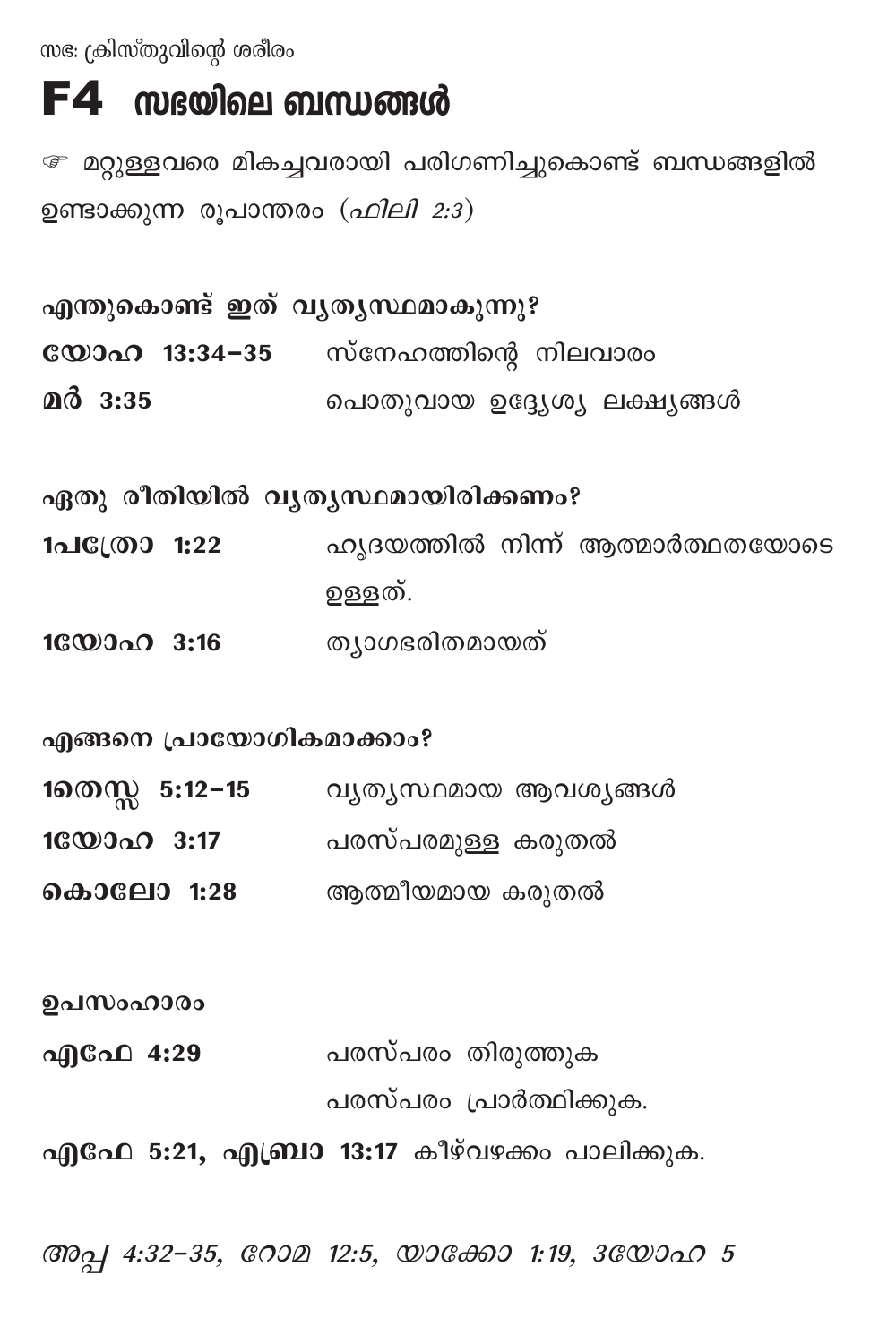സഭ: ക്രിസ്തുവിന്റെ ശരീരം

## $F4$  സഭയിലെ ബന്ധങ്ങൾ

േ മറ്റുള്ളവരെ മികച്ചവരായി പരിഗണിച്ചുകൊണ്ട് ബന്ധങ്ങളിൽ ഉണ്ടാക്കുന്ന രൂപാന്തരം (ഹിലി 2:3)

| എന്തുകൊണ്ട് ഇത് വൃതൃസ്ഥമാകുന്നു? |                                           |
|----------------------------------|-------------------------------------------|
|                                  | <b>യോഹ 13:34–35</b> സ്നേഹത്തിന്റെ നിലവാരം |
| $Q_0$ 3:35                       | പൊതുവായ ഉദ്ദ്യേശ്യ ലക്ഷ്യങ്ങൾ             |

ഏതു രീതിയിൽ വൃതൃസ്ഥമായിരിക്കണം?

- 1പC്രോ 1:22 പറൃദയത്തിൽ നിന്ന് ആത്മാർത്ഥതയോടെ ഉള്ളത്.
- 16000 3:16 ത്യാഗഭരിതമായത്

എങ്ങനെ പ്രായോഗികമാക്കാം?

- 1തെസ്സ 5:12−15 വൃതൃസ്ഥമായ ആവശൃങ്ങൾ
- 10ോഹ 3:17 പരസ്പരമുള്ള കരുതൽ
- കൊലോ 1:28 ആത്മീയമായ കരുതൽ

ഉപസംഹാരം

എഫേ 4:29 പരസ്പരം തിരുത്തുക പരസ്പരം പ്രാർത്ഥിക്കുക.

എഫേ 5:21, എബ്രാ 13:17 കീഴ്വഴക്കം പാലിക്കുക.

ആപ്പ 4:32-35, റോമ 12:5, യാക്കോ 1:19, 3ഡോഹ 5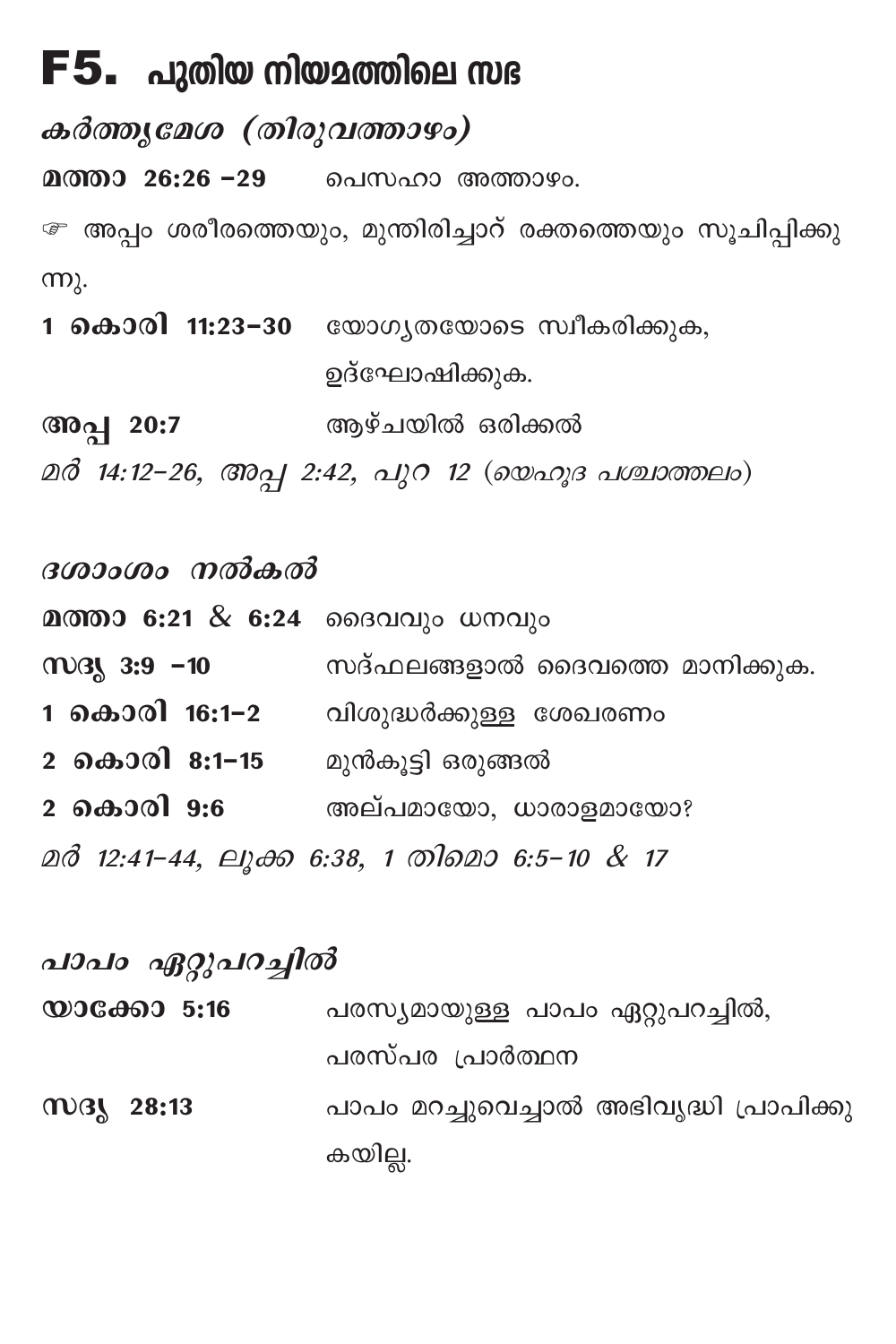## $F5.$  പുതിയ നിയമത്തിലെ സഭ

കർത്തുമേശ (തിരുവത്താഴം)

മത്താ 26:26 –29 ചെസഹാ അത്താഴം.

േ അപ്പം ശരീരത്തെയും, മുന്തിരിച്ചാറ് രക്തത്തെയും സൂചിപ്പിക്കു  $mp<sub>\lambda</sub>$ .

1 കൊരി 11:23-30 യോഗൃതയോടെ സ്വീകരിക്കുക, ഉദ്ഘോഷിക്കുക.

അപ്പ 20:7 ആഴ്ചയിൽ ഒരിക്കൽ

മർ 14:12-26, അപ്പ 2:42, പുറ 12 (യെഹൂദ പശ്ചാത്തലം)

ദശാംശം നൽകൽ മത്താ 6:21 & 6:24 ദൈവവും ധനവും  $M3, 3:9 - 10$ സദ്ഫലങ്ങളാൽ ദൈവത്തെ മാനിക്കുക. 1 കൊരി 16:1–2 വിശുദ്ധർക്കുള്ള ശേഖരണം 2 കൊരി 8:1–15 മുൻകൂട്ടി ഒരുങ്ങൽ 2 കൊരി 9:6 അല്പമായോ, ധാരാളമായോ? മർ 12:41-44, ലുക്ക 6:38, 1 തിമൊ 6:5-10 & 17

പാപം ഏറ്റുപറച്ചിൽ പരസ്യമായുള്ള പാപം ഏറ്റുപറച്ചിൽ, പരസ്പര പ്രാർത്ഥന **M3V 28:13** പാപം മറച്ചുവെച്ചാൽ അഭിവൃദ്ധി പ്രാപിക്കു കയില്ല.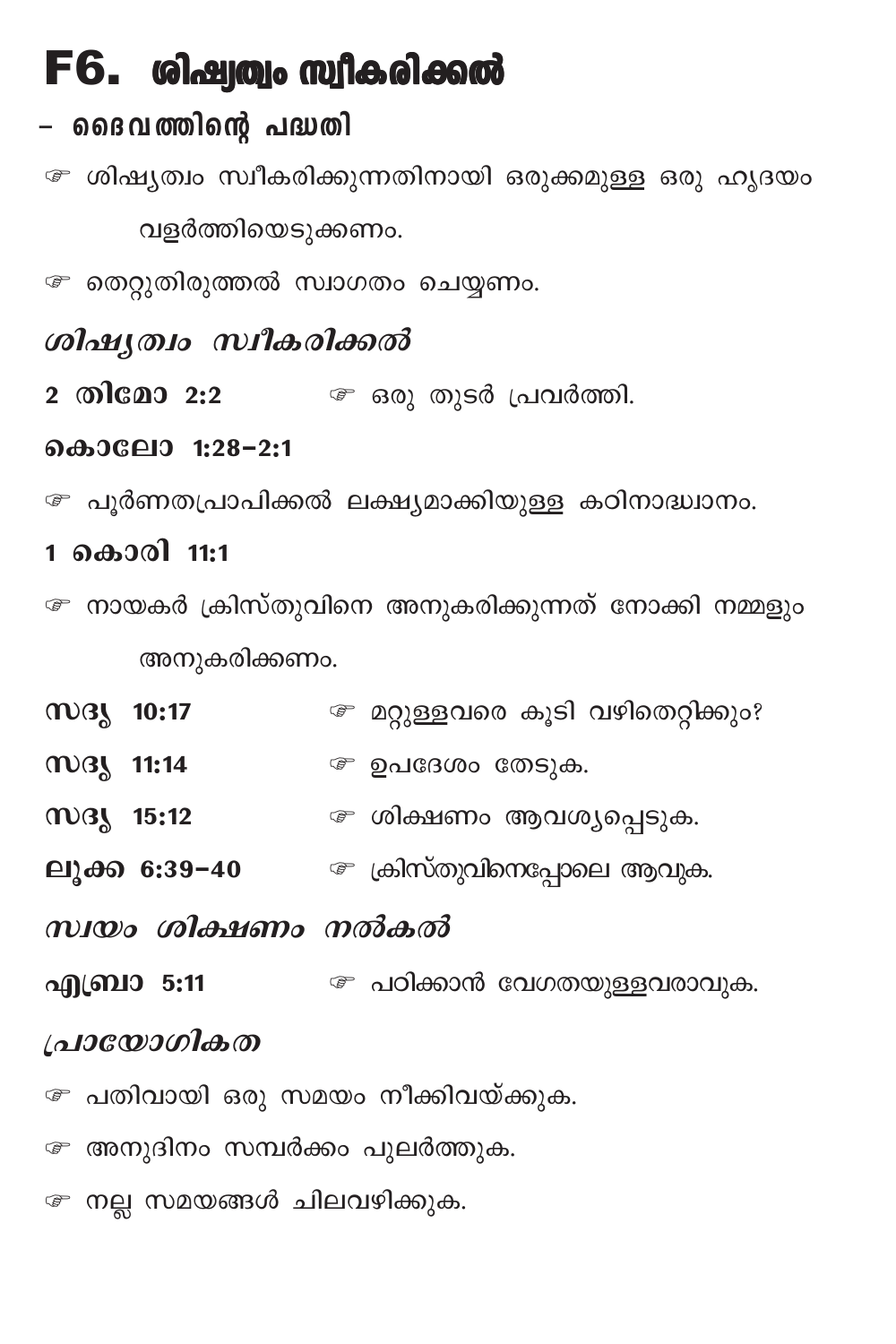# $F6.$  ശിഷ്വത്വം സ്വീകരിക്കൽ

## – ദൈവത്തിന്റെ പദ്ധതി

േ ശിഷ്യത്വം സ്ഥീകരിക്കുന്നതിനായി ഒരുക്കമുള്ള ഒരു ഹൃദയം വളർത്തിയെടുക്കണം.

േ തെറ്റുതിരുത്തൽ സ്വാഗതം ചെയ്യണം.

### ശിഷ്യത്വം സ്വീകരിക്കൽ

2 തിമോ 2:2 <sup>@</sup> ഒരു തുടർ പ്രവർത്തി.

### കൊലോ 1:28-2:1

േ പൂർണതപ്രാപിക്കൽ ലക്ഷ്യമാക്കിയുള്ള കഠിനാദ്ധ്വാനം.

### 1 കൊരി 11:1

- േ നായകർ ക്രിസ്തുവിനെ അനുകരിക്കുന്നത് നോക്കി നമ്മളും അനുകരിക്കണം.
- **MBL 10:17** േ മറ്റുള്ളവരെ കൂടി വഴിതെറ്റിക്കും?
- **MB 11:14** ഉപദേശം തേടുക.
- സദൃ 15:12 *േ* ശിക്ഷണം ആവശ്യപ്പെടുക.
- **ലൂക്ക 6:39-40**  $\qquad \qquad \qquad \qquad \qquad \qquad \qquad$  ക്രിസ്തുവിനെപ്പോലെ ആവുക.
- സ്വയം ശിക്ഷണം നൽകൽ
- എബ്രാ 5:11 ലിക്കാൻ വേഗതയുള്ളവരാവുക.

### പ്രായോഗികത

- േ പതിവായി ഒരു സമയം നീക്കിവയ്ക്കുക.
- േ അനുദിനം സമ്പർക്കം പുലർത്തുക.
- േ നല്ല സമയങ്ങൾ ചിലവഴിക്കുക.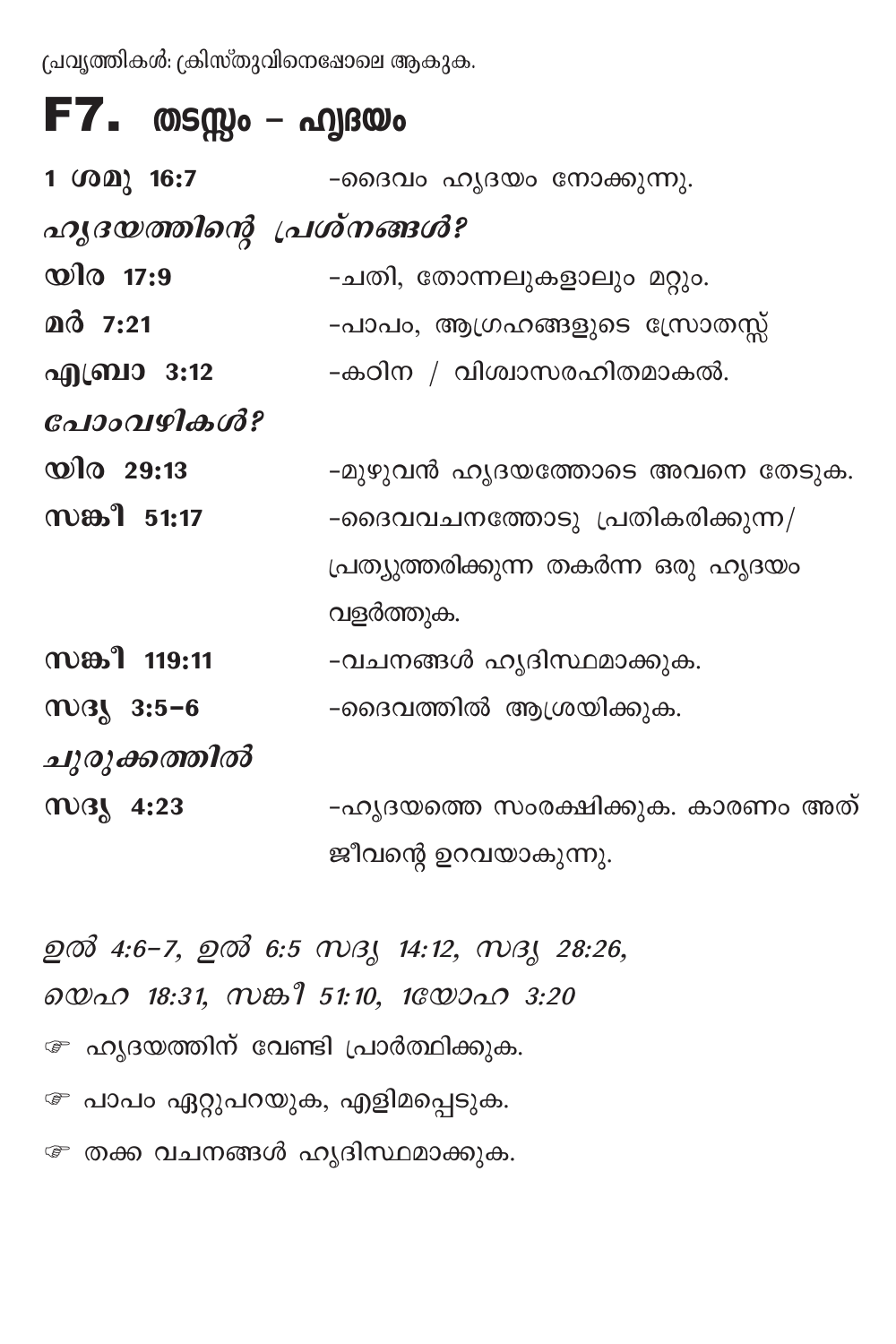പ്രവൃത്തികൾ: ക്രിസ്തുവിനെഷോലെ ആകുക.

# **F7.** തടസ്സം – ഹ്വദയം

| 1 $(002)$ 16:7            | -ദൈവം ഹൃദയം നോക്കുന്നു.              |
|---------------------------|--------------------------------------|
| ഹൃദയത്തിന്റെ പ്രശ്നങ്ങൾ?  |                                      |
| $\mathbf{\omega}$ ിര 17:9 | -ചതി, തോന്നലുകളാലും മറ്റും.          |
| മർ 7:21                   | -പാപം, ആഗ്രഹങ്ങളുടെ സ്രോതസ്സ്        |
| എബ്രാ 3:12                | -കഠിന / വിശ്വാസരഹിതമാകൽ.             |
| പോംവഴികൾ?                 |                                      |
| $\omega$ lo 29:13         | -മുഴുവൻ ഹൃദയത്തോടെ അവനെ തേടുക.       |
| സങ്കീ 51:17               | -ദൈവവചനത്തോടു പ്രതികരിക്കുന്ന/       |
|                           | പ്രത്യുത്തരിക്കുന്ന തകർന്ന ഒരു ഹൃദയം |
|                           | വളർത്തുക.                            |
| സങ്കീ 119:11              | -വചനങ്ങൾ ഹൃദിസ്ഥമാക്കുക.             |
| $mg$ 3:5-6                | -ദൈവത്തിൽ ആശ്രയിക്കുക.               |
| ചുരുക്കത്തിൽ              |                                      |
| may 4:23                  | -ഹൃദയത്തെ സംരക്ഷിക്കുക. കാരണം അത്    |
|                           | ജീവന്റെ ഉറവയാകുന്നു.                 |

ഉൽ 4:6-7, ഉൽ 6:5 സദൃ 14:12, സദൃ 28:26, லை 18:31, ஸகி 51:10, 10லை 3:20 േ ഹ്യദയത്തിന് വേണ്ടി പ്രാർത്ഥിക്കുക. േ പാപം ഏറ്റുപറയുക, എളിമപ്പെടുക. േ തക്ക വചനങ്ങൾ ഹൃദിസ്ഥമാക്കുക.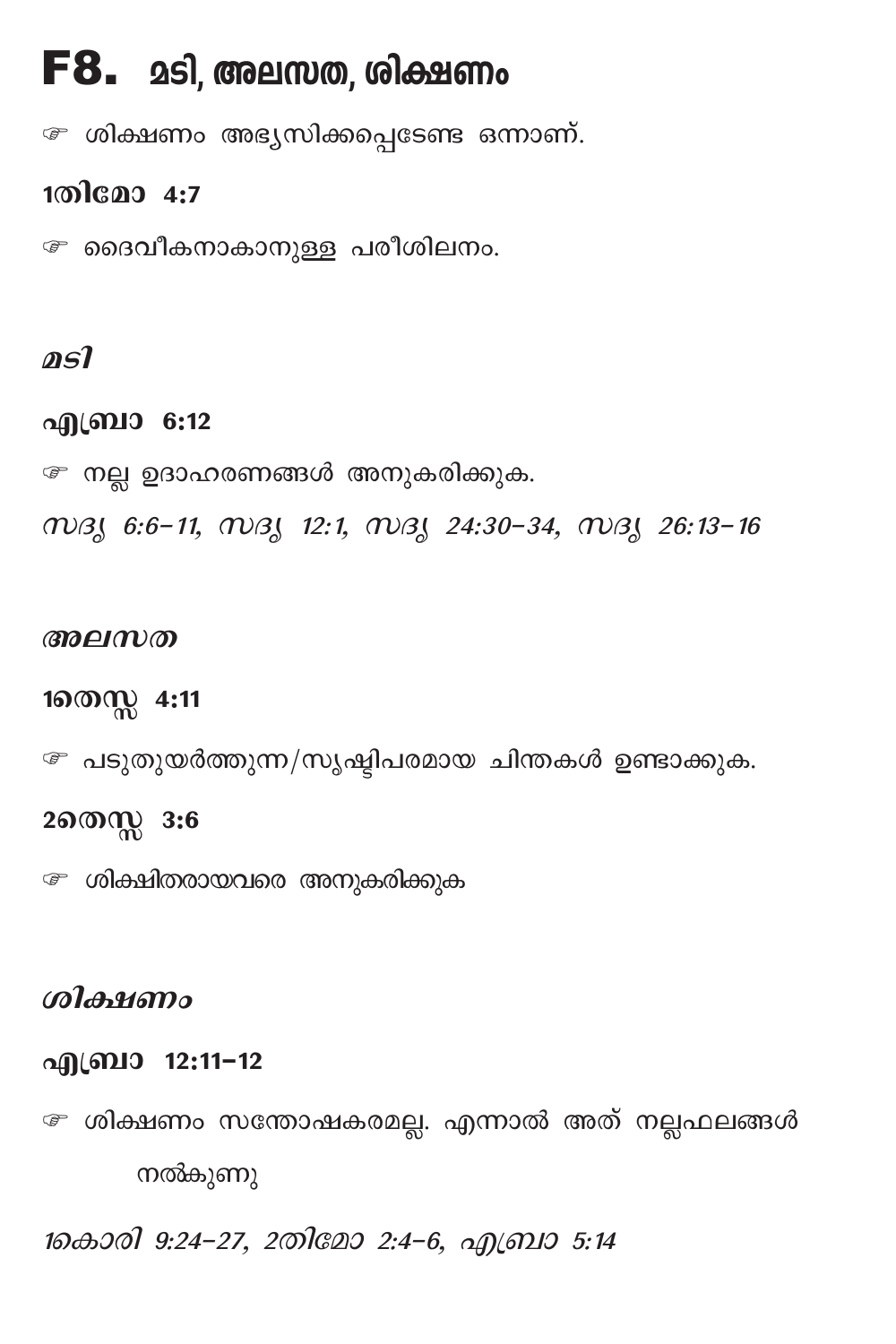## $F8.$  മടി, അലസത, ശിക്ഷണം

േ ശിക്ഷണം അഭ്യസിക്കപ്പെടേണ്ട ഒന്നാണ്.

### 1തിമോ 4:7

േ ദൈവീകനാകാനുള്ള പരീശിലനം.

### asl

### എബ്രാ 6:12

േ നല്ല ഉദാഹരണങ്ങൾ അനുകരിക്കുക.

WBJ 6:6-11, WBJ 12:1, WBJ 24:30-34, WBJ 26:13-16

#### അലസത

1ணை 4:11

*േ* പടുതുയർത്തുന്ന/സൃഷ്ടിപരമായ ചിന്തകൾ ഉണ്ടാക്കുക.

### 2തെസ്സ 3:6

```
േ ശിക്ഷിതരായവരെ അനുകരിക്കുക
```
### கிக்குறை

### എബ്രാ 12:11-12

േ ശിക്ഷണം സന്തോഷകരമല്ല. എന്നാൽ അത് നല്ലഫലങ്ങൾ നൽകുണു

1കൊരി 9:24-27, 2തിമോ 2:4-6, എബ്രാ 5:14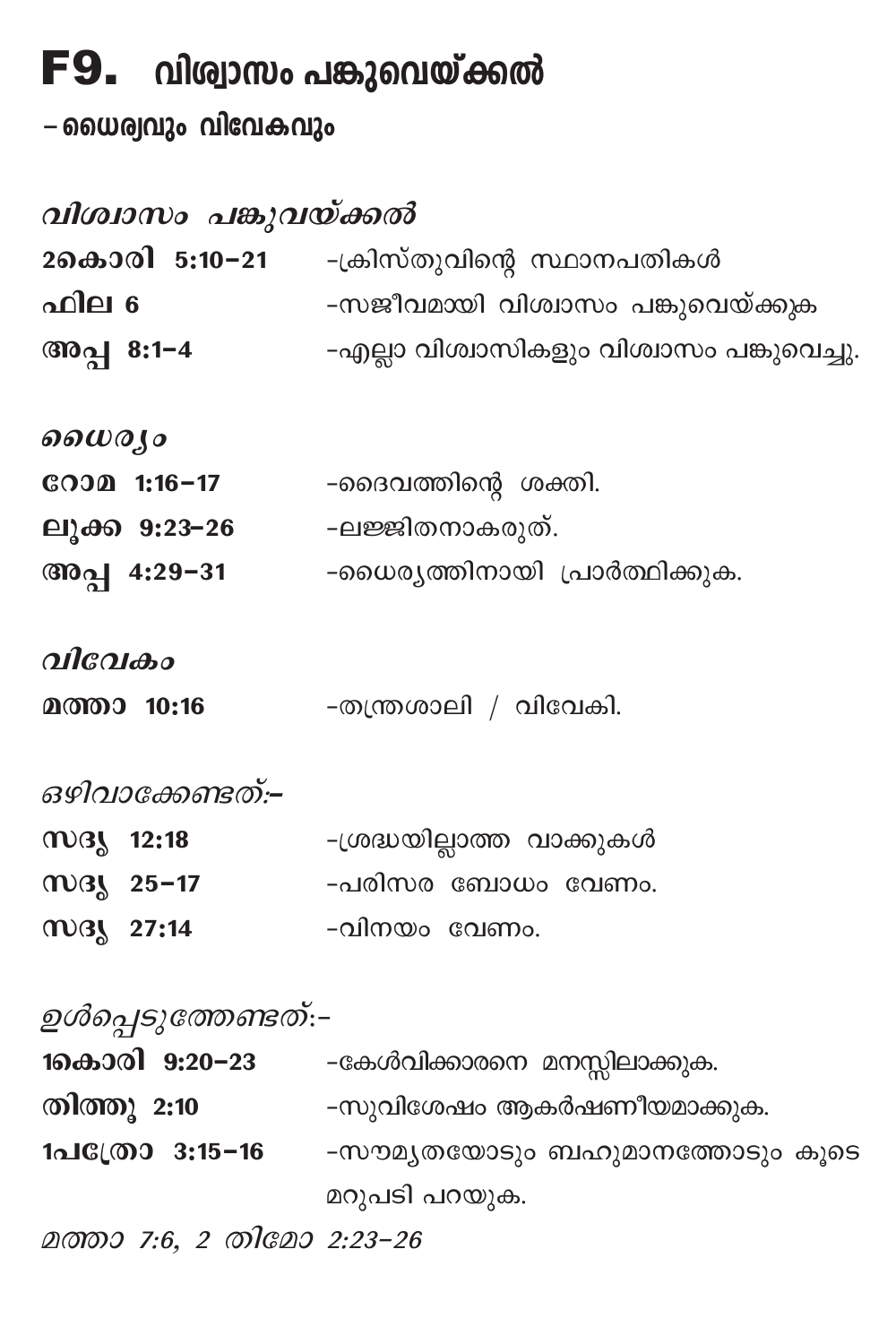# $F9.$  വിശ്വാസം പങ്കുവെയ്ക്കൽ

–യൈര്വവും വിവേകവും

| വിശ്വാസം പങ്കുവയ്ക്കൽ         |                                                   |
|-------------------------------|---------------------------------------------------|
|                               | 2കൊരി 5:10−21 -ക്രിസ്തുവിന്റെ സ്ഥാനപതികൾ          |
| ഫില 6                         | -സജീവമായി വിശ്വാസം പങ്കുവെയ്ക്കുക                 |
| പില 6<br>അപ്പ 8:1−4           | -എല്ലാ വിശ്വാസികളും വിശ്വാസം പങ്കുവെച്ചു.         |
| ഗൈര്യാ                        |                                                   |
|                               | <b>ോമ 1:16–17</b> -ദൈവത്തിന്റെ ശക്തി.             |
| ലൂക്ക 9:23–26 -ലജ്ജിതനാകരുത്. |                                                   |
|                               | അപ്പ 4:29−31 - ംെധരൃത്തിനായി പ്രാർത്ഥിക്കുക.      |
| വിവേകം                        |                                                   |
| മത്താ 10:16                   | -തന്ത്രശാലി / വിവേകി.                             |
| ഒഴിവാക്കേണ്ടത്:–              |                                                   |
| may 12:18                     | -ശ്രദ്ധയില്ലാത്ത വാക്കുകൾ                         |
|                               | സദൃ 25-17         -പരിസര ബോധം വേണം.               |
| may 27:14                     | -വിനയം വേണം.                                      |
| ഉൾപ്പെടുത്തേണ്ടത്:–           |                                                   |
|                               | <b>1കൊരി 9:20–23</b> -കേൾവിക്കാരനെ മനസ്സിലാക്കുക. |
|                               | തിത്തു 2:10 -സുവിശേഷം ആകർഷണീയമാക്കുക.             |
|                               | 1പി്രോ 3:15−16 -സൗമൃതയോടും ബഹുമാനത്തോടും കൂടെ     |
|                               | മറുപടി പറയുക.                                     |
| മത്താ 7:6, 2 തിമോ 2:23-26     |                                                   |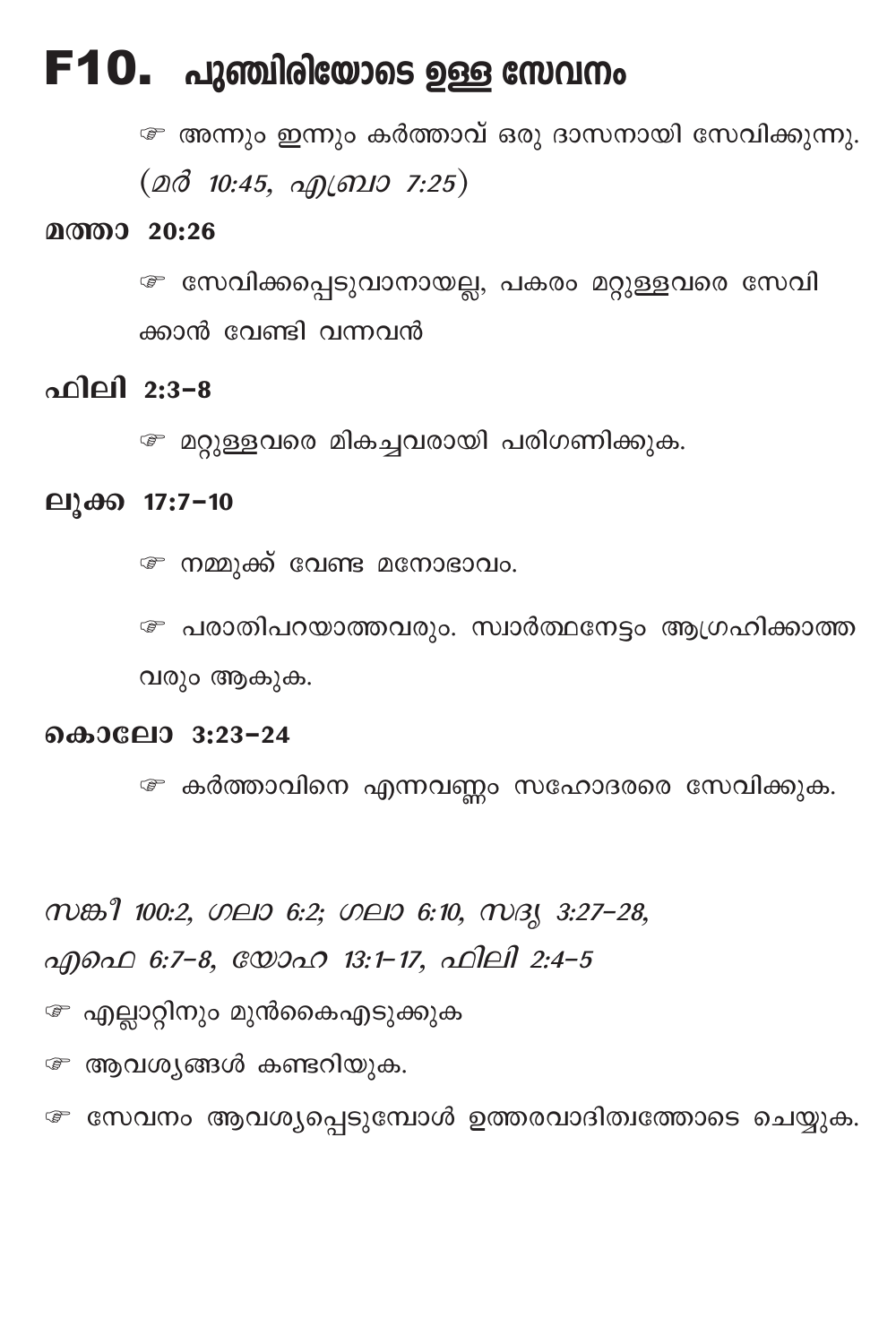## $F10.$  പുഞ്ചിരിയോടെ ഉള്ള സേവനം

േ അന്നും ഇന്നും കർത്താവ് ഒരു ദാസനായി സേവിക്കുന്നു.  $(20\delta$  10:45,  $\alpha$  ( $\alpha$ 10 7:25)

#### മത്താ 20:26

േ സേവിക്കപ്പെടുവാനായല്ല, പകരം മറ്റുള്ളവരെ സേവി ക്കാൻ വേണ്ടി വന്നവൻ

### ഫിലി 2:3-8

േ മറ്റുള്ളവരെ മികച്ചവരായി പരിഗണിക്കുക.

#### ലുക്ക 17:7-10

േ നമ്മുക്ക് വേണ്ട മനോഭാവം.

േ പരാതിപറയാത്തവരും. സ്വാർത്ഥനേട്ടം ആഗ്രഹിക്കാത്ത വരും ആകുക.

### കൊലോ 3:23-24

േ കർത്താവിനെ എന്നവണ്ണം സഹോദരരെ സേവിക്കുക.

സങ്കീ 100:2, ഗലാ 6:2; ഗലാ 6:10, സദൃ 3:27-28,

എഫെ 6:7-8, യോഹ 13:1-17, ഫിലി 2:4-5

േ എല്ലാറ്റിനും മുൻകൈഎടുക്കുക

േ ആവശ്യങ്ങൾ കണ്ടറിയുക.

േ സേവനം ആവശ്യപ്പെടുമ്പോൾ ഉത്തരവാദിത്വത്തോടെ ചെയ്യുക.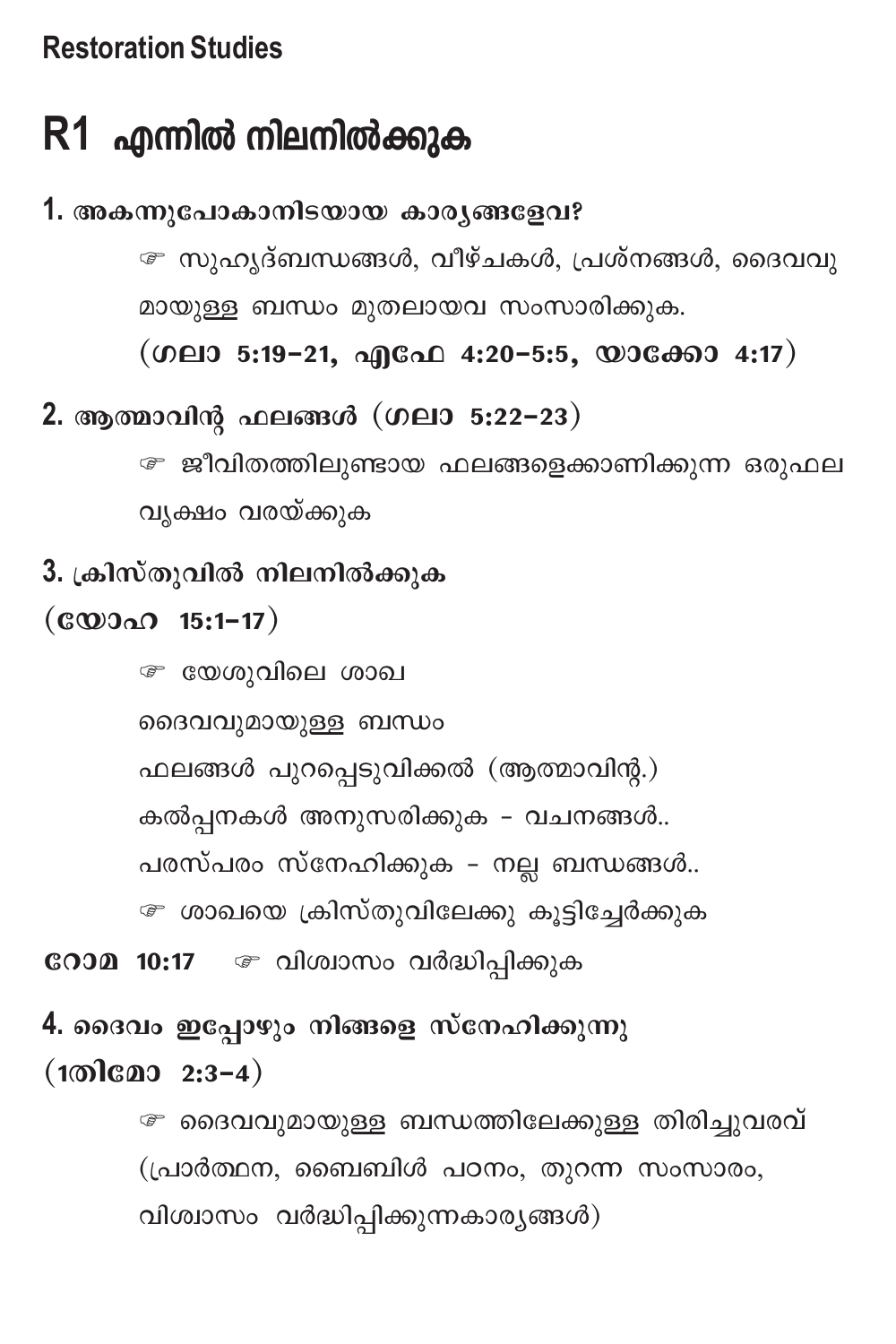## **Restoration Studies**

# **R1** എന്നിൽ നിലനിൽക്കുക

# 1. അകന്നൂപോകാനിടയായ കാരൃങ്ങളേവ?  $\widehat{\mathscr{F}}$  സുഹൃദ്ബന്ധങ്ങൾ, വീഴ്ചകൾ, പ്രശ്നങ്ങൾ, ദൈവവു മായുള്ള ബന്ധം മുതലായവ സംസാരിക്കുക.  $(MQ13 5:19-21, 99600 4:20-5:5, 0006000 4:17)$ 2. ആത്മാവിന്റ ഫലങ്ങൾ (ഗലാ 5:22-23) ∕ ജീവിതത്തിലുണ്ടായ ഫലങ്ങളെക്കാണിക്കുന്ന ഒരുഫല വൃക്ഷം വരയ്ക്കുക 3. ക്രിസ്തുവിൽ നിലനിൽക്കുക  $(\mathbf{c} \mathbf{w} \mathbf{a} \mathbf{a} \mathbf{a} \mathbf{a} \mathbf{b}$  15:1-17) േ യേശുവിലെ ശാഖ ദൈവവുമായുള്ള ബന്ധം  $\Delta$ ലങ്ങൾ പുറപ്പെടുവിക്കൽ (ആത്മാവിന്റ.) കൽപ്പനകൾ അനുസരിക്കുക - വചനങ്ങൾ.. പരസ്പരം സ്നേഹിക്കുക - നല്ല ബന്ധങ്ങൾ.. േ ശാഖയെ ക്രിസ്തുവിലേക്കു കൂട്ടിച്ചേർക്കുക **ോമ 10:17** െ വിശ്വാസം വർദ്ധിപ്പിക്കുക 4. **ദൈവം ഇപ്പോഴും നിങ്ങളെ സ്നേഹിക്കുന്നു**  $(100 \cap 2:3-4)$  $\widehat{\mathscr{F}}$  ദൈവവുമായുള്ള ബന്ധത്തിലേക്കുള്ള തിരിച്ചുവരവ്  $($ പ്രാർത്ഥന, ബൈബിൾ പഠനം, തുറന്ന സംസാരം,  $n$ ിശ്വാസം വർദ്ധിപ്പിക്കുന്നകാര്യങ്ങൾ)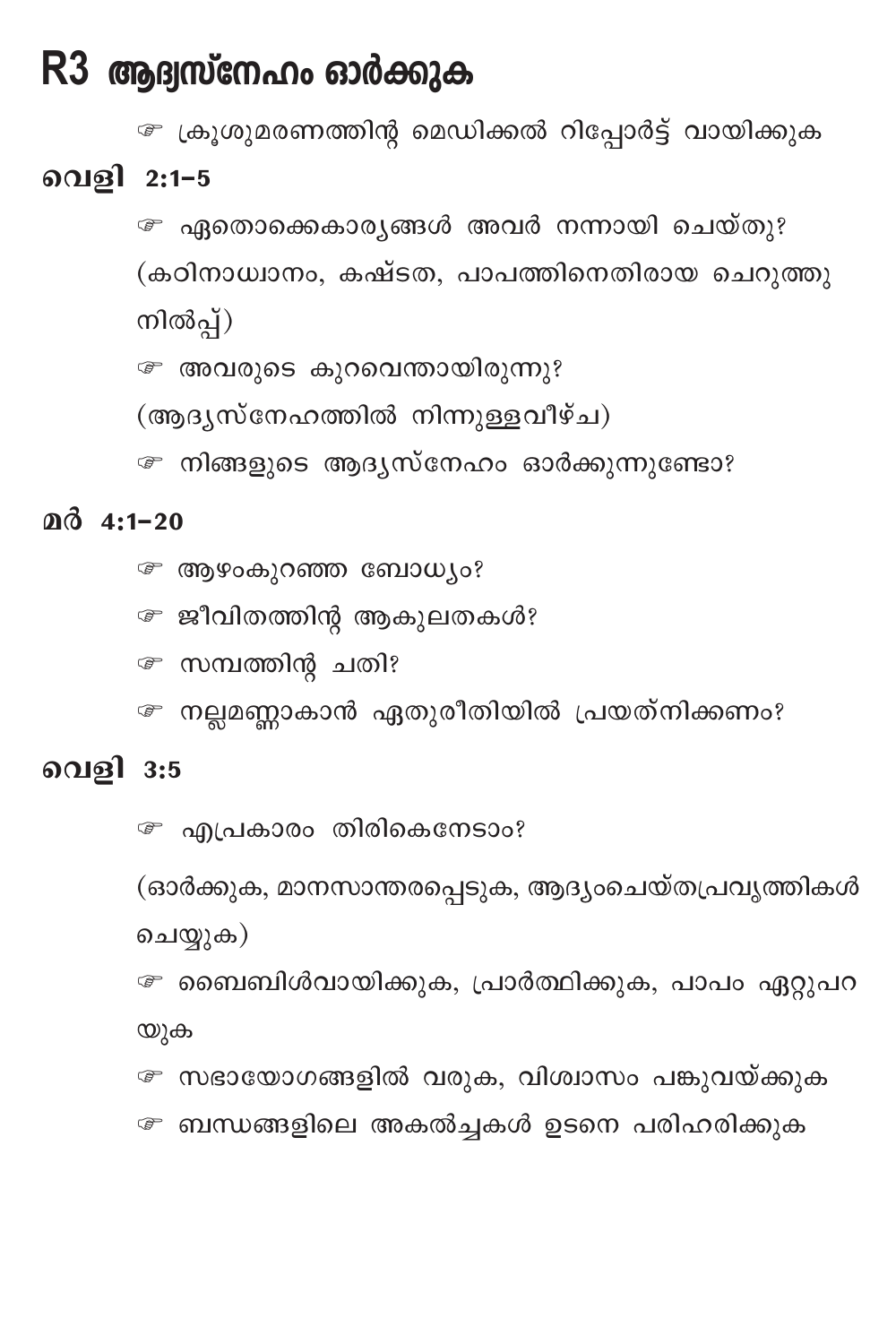## R3 ആദ്വസ്നേഹം ഓർക്കുക

േ ക്രൂശുമരണത്തിന്റ മെഡിക്കൽ റിപ്പോർട്ട് വായിക്കുക

### വെളി 2:1-5

*േ* ഏതൊക്കെകാര്യങ്ങൾ അവർ നന്നായി ചെയ്തു? (കഠിനാധ്വാനം, കഷ്ടത, പാപത്തിനെതിരായ ചെറുത്തു നിൽപ്പ്)

േ അവരുടെ കുറവെന്തായിരുന്നു?

(ആദ്യസ്നേഹത്തിൽ നിന്നുള്ളവീഴ്ച)

േ നിങ്ങളുടെ ആദ്യസ്നേഹം ഓർക്കുന്നുണ്ടോ?

### $a\hat{d}$  4:1-20

- **© ആഴംകുറഞ്ഞ ബോധ്യം**?
- േ ജീവിതത്തിന്റ ആകുലതകൾ?
- േ സമ്പത്തിന്റ ചതി?
- േ നല്ലമണ്ണാകാൻ ഏതുരീതിയിൽ പ്രയത്നിക്കണം?

### വെളി 3:5

*േ* എപ്രകാരം തിരികെനേടാം?

(ഓർക്കുക, മാനസാന്തരപ്പെടുക, ആദ്യംചെയ്തപ്രവൃത്തികൾ ചെയ്യുക)

*േ* ബൈബിൾവായിക്കുക, പ്രാർത്ഥിക്കുക, പാപം ഏറ്റുപറ യുക

േ സഭായോഗങ്ങളിൽ വരുക, വിശ്വാസം പങ്കുവയ്ക്കുക

േ ബന്ധങ്ങളിലെ അകൽച്ചകൾ ഉടനെ പരിഹരിക്കുക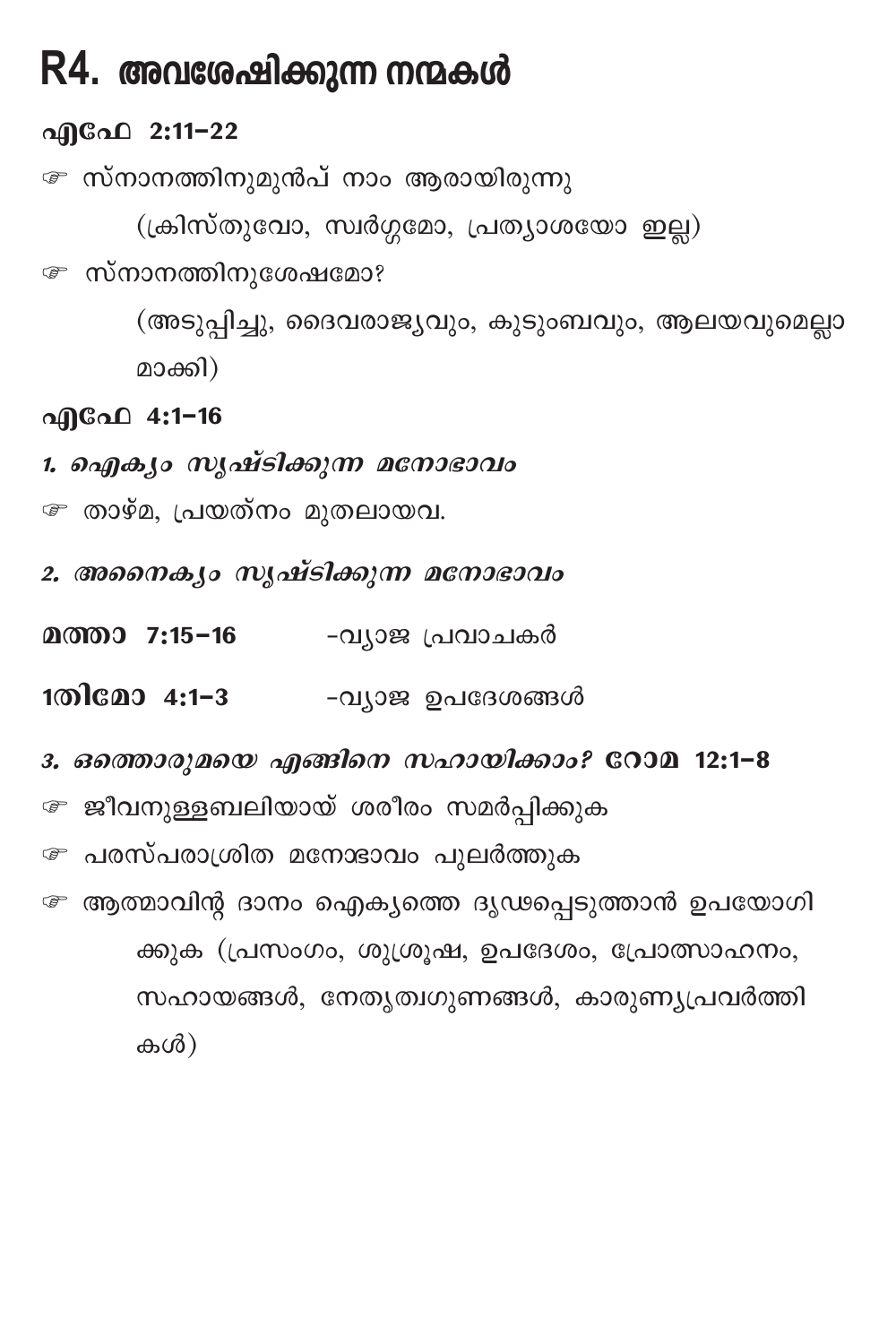## R4. അവശേഷിക്കുന്ന നന്മകൾ

### എഫേ 2:11-22

േ സ്നാനത്തിനുമുൻപ് നാം ആരായിരുന്നു

(ക്രിസ്തുവോ, സ്വർഗ്ഗമോ, പ്രത്യാശയോ ഇല്ല)

*േ* സ്നാനത്തിനുശേഷമോ?

(അടുപ്പിച്ചു, ദൈവരാജ്യവും, കുടുംബവും, ആലയവുമെല്ലാ മാക്കി)

#### എഫേ 4:1-16

- 1. ഐക്യം സൃഷ്ടിക്കുന്ന മനോഭാവം
- ☞ താഴ്മ, പ്രയത്നം മുതലായവ.
- 2. അനൈകൃം സൃഷ്ടിക്കുന്ന മനോഭാവം
- **മത്താ 7:15-16** -വ്യാജ പ്രവാചകർ
- 1തിമോ 4:1-3 -വ്യാജ ഉപദേശങ്ങൾ
- 3. ഒത്തൊരുമയെ എങ്ങിനെ സഹായിക്കാം? റോമ 12:1-8
- േ ജീവനുള്ളബലിയായ് ശരീരം സമർപ്പിക്കുക
- േ പരസ്പരാശ്രിത മനോഭാവം പുലർത്തുക
- േ ആത്മാവിന്റ ദാനം ഐക്യത്തെ ദൃഢപ്പെടുത്താൻ ഉപയോഗി ക്കുക (പ്രസംഗം, ശുശ്രൂഷ, ഉപദേശം, പ്രോത്സാഹനം, സഹായങ്ങൾ, നേതൃത്വഗുണങ്ങൾ, കാരുണ്യപ്രവർത്തി കൾ)